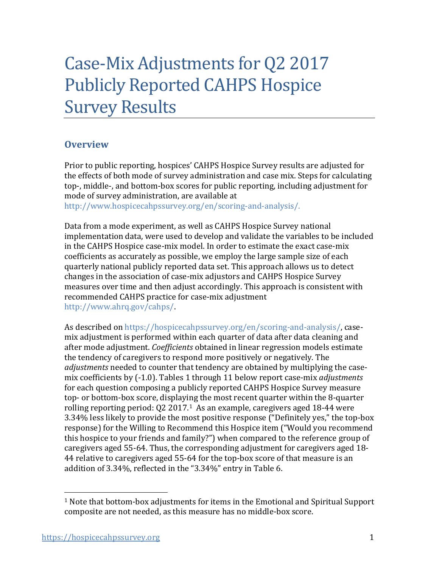# Case-Mix Adjustments for Q2 2017 Publicly Reported CAHPS Hospice Survey Results

# **Overview**

Prior to public reporting, hospices' CAHPS Hospice Survey results are adjusted for the effects of both mode of survey administration and case mix. Steps for calculating top-, middle-, and bottom-box scores for public reporting, including adjustment for mode of survey administration, are available at

[http://www.hospicecahpssurvey.org/en/scoring-and-analysis/.](https://hospicecahpssurvey.org/en/public-reporting/scoring-and-analysis/)

Data from a mode experiment, as well as CAHPS Hospice Survey national implementation data, were used to develop and validate the variables to be included in the CAHPS Hospice case-mix model. In order to estimate the exact case-mix coefficients as accurately as possible, we employ the large sample size of each quarterly national publicly reported data set. This approach allows us to detect changes in the association of case-mix adjustors and CAHPS Hospice Survey measures over time and then adjust accordingly. This approach is consistent with recommended CAHPS practice for case-mix adjustment [http://www.ahrq.gov/cahps/.](https://www.ahrq.gov/cahps/)

As described on [https://hospicecahpssurvey.org/en/scoring-and-analysis/,](https://hospicecahpssurvey.org/en/public-reporting/scoring-and-analysis/) casemix adjustment is performed within each quarter of data after data cleaning and after mode adjustment. *Coefficients* obtained in linear regression models estimate the tendency of caregivers to respond more positively or negatively. The *adjustments* needed to counter that tendency are obtained by multiplying the casemix coefficients by (-1.0). Tables 1 through 11 below report case-mix *adjustments* for each question composing a publicly reported CAHPS Hospice Survey measure top- or bottom-box score, displaying the most recent quarter within the 8-quarter rolling reporting period: Q2 2017.[1](#page-0-0) As an example, caregivers aged 18-44 were 3.34% less likely to provide the most positive response ("Definitely yes," the top-box response) for the Willing to Recommend this Hospice item ("Would you recommend this hospice to your friends and family?") when compared to the reference group of caregivers aged 55-64. Thus, the corresponding adjustment for caregivers aged 18- 44 relative to caregivers aged 55-64 for the top-box score of that measure is an addition of 3.34%, reflected in the "3.34%" entry in Table 6.

<span id="page-0-0"></span> $1$  Note that bottom-box adjustments for items in the Emotional and Spiritual Support composite are not needed, as this measure has no middle-box score.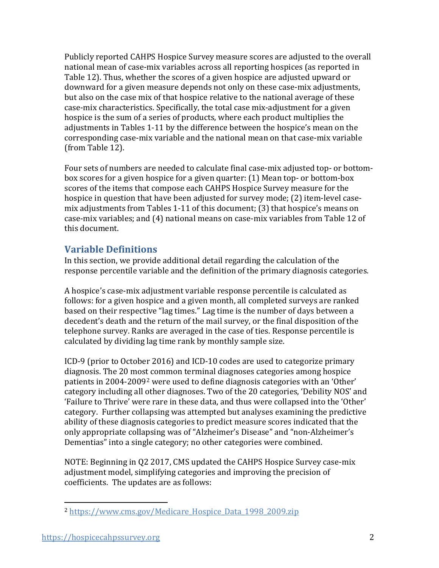Publicly reported CAHPS Hospice Survey measure scores are adjusted to the overall national mean of case-mix variables across all reporting hospices (as reported in Table 12). Thus, whether the scores of a given hospice are adjusted upward or downward for a given measure depends not only on these case-mix adjustments, but also on the case mix of that hospice relative to the national average of these case-mix characteristics. Specifically, the total case mix-adjustment for a given hospice is the sum of a series of products, where each product multiplies the adjustments in Tables 1-11 by the difference between the hospice's mean on the corresponding case-mix variable and the national mean on that case-mix variable (from Table 12).

Four sets of numbers are needed to calculate final case-mix adjusted top- or bottombox scores for a given hospice for a given quarter: (1) Mean top- or bottom-box scores of the items that compose each CAHPS Hospice Survey measure for the hospice in question that have been adjusted for survey mode; (2) item-level casemix adjustments from Tables 1-11 of this document; (3) that hospice's means on case-mix variables; and (4) national means on case-mix variables from Table 12 of this document.

# **Variable Definitions**

In this section, we provide additional detail regarding the calculation of the response percentile variable and the definition of the primary diagnosis categories.

A hospice's case-mix adjustment variable response percentile is calculated as follows: for a given hospice and a given month, all completed surveys are ranked based on their respective "lag times." Lag time is the number of days between a decedent's death and the return of the mail survey, or the final disposition of the telephone survey. Ranks are averaged in the case of ties. Response percentile is calculated by dividing lag time rank by monthly sample size.

ICD-9 (prior to October 2016) and ICD-10 codes are used to categorize primary diagnosis. The 20 most common terminal diagnoses categories among hospice patients in 2004-2009[2](#page-1-0) were used to define diagnosis categories with an 'Other' category including all other diagnoses. Two of the 20 categories, 'Debility NOS' and 'Failure to Thrive' were rare in these data, and thus were collapsed into the 'Other' category. Further collapsing was attempted but analyses examining the predictive ability of these diagnosis categories to predict measure scores indicated that the only appropriate collapsing was of "Alzheimer's Disease" and "non-Alzheimer's Dementias" into a single category; no other categories were combined.

NOTE: Beginning in Q2 2017, CMS updated the CAHPS Hospice Survey case-mix adjustment model, simplifying categories and improving the precision of coefficients. The updates are as follows:

<span id="page-1-0"></span><sup>2</sup> [https://www.cms.gov/Medicare\\_Hospice\\_Data\\_1998\\_2009.zip](https://www.cms.gov/Medicare/Medicare-Fee-for-Service-Payment/Hospice/Downloads/Medicare_Hospice_Data_1998_2009.zip)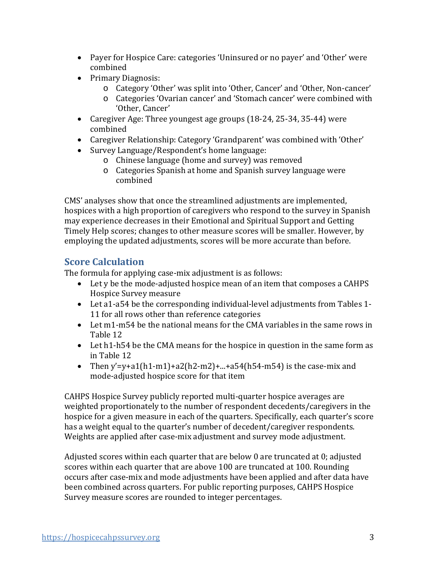- Payer for Hospice Care: categories 'Uninsured or no payer' and 'Other' were combined
- Primary Diagnosis:
	- o Category 'Other' was split into 'Other, Cancer' and 'Other, Non-cancer'
	- o Categories 'Ovarian cancer' and 'Stomach cancer' were combined with 'Other, Cancer'
- Caregiver Age: Three youngest age groups (18-24, 25-34, 35-44) were combined
- Caregiver Relationship: Category 'Grandparent' was combined with 'Other'
- Survey Language/Respondent's home language:
	- o Chinese language (home and survey) was removed
	- o Categories Spanish at home and Spanish survey language were combined

CMS' analyses show that once the streamlined adjustments are implemented, hospices with a high proportion of caregivers who respond to the survey in Spanish may experience decreases in their Emotional and Spiritual Support and Getting Timely Help scores; changes to other measure scores will be smaller. However, by employing the updated adjustments, scores will be more accurate than before.

# **Score Calculation**

The formula for applying case-mix adjustment is as follows:

- Let y be the mode-adjusted hospice mean of an item that composes a CAHPS Hospice Survey measure
- Let a1-a54 be the corresponding individual-level adjustments from Tables 1- 11 for all rows other than reference categories
- Let m1-m54 be the national means for the CMA variables in the same rows in Table 12
- Let h1-h54 be the CMA means for the hospice in question in the same form as in Table 12
- Then y'=y+a1(h1-m1)+a2(h2-m2)+...+a54(h54-m54) is the case-mix and mode-adjusted hospice score for that item

CAHPS Hospice Survey publicly reported multi-quarter hospice averages are weighted proportionately to the number of respondent decedents/caregivers in the hospice for a given measure in each of the quarters. Specifically, each quarter's score has a weight equal to the quarter's number of decedent/caregiver respondents. Weights are applied after case-mix adjustment and survey mode adjustment.

Adjusted scores within each quarter that are below 0 are truncated at 0; adjusted scores within each quarter that are above 100 are truncated at 100. Rounding occurs after case-mix and mode adjustments have been applied and after data have been combined across quarters. For public reporting purposes, CAHPS Hospice Survey measure scores are rounded to integer percentages.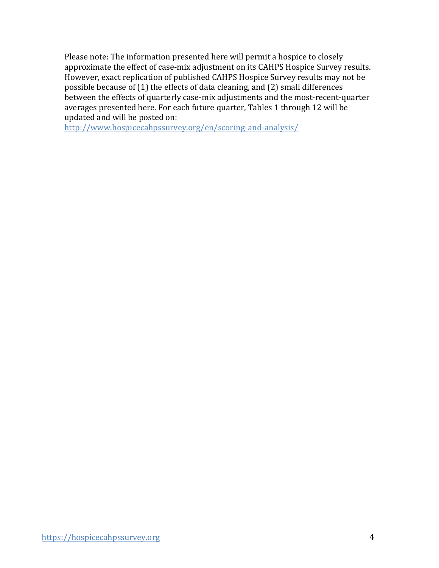Please note: The information presented here will permit a hospice to closely approximate the effect of case-mix adjustment on its CAHPS Hospice Survey results. However, exact replication of published CAHPS Hospice Survey results may not be possible because of (1) the effects of data cleaning, and (2) small differences between the effects of quarterly case-mix adjustments and the most-recent-quarter averages presented here. For each future quarter, Tables 1 through 12 will be updated and will be posted on:

[http://www.hospicecahpssurvey.org/en/scoring-and-analysis/](https://hospicecahpssurvey.org/en/public-reporting/scoring-and-analysis/)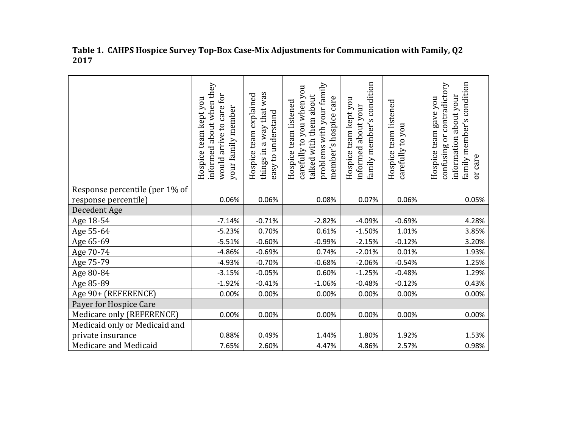|                                | informed about when they<br>for<br>Hospice team kept you<br>would arrive to care<br>your family member | things in a way that was<br>team explained<br>easy to understand<br>Hospice | problems with your family<br>carefully to you when you<br>talked with them about<br>member's hospice care<br>Hospice team listened | condition<br>Hospice team kept you<br>informed about your<br>$\mathbf{v}$<br>family member' | Hospice team listened<br>carefully to you | condition<br>confusing or contradictory<br>about your<br>Hospice team gave you<br>family member's<br>information<br>care<br>$\overline{5}$ |
|--------------------------------|--------------------------------------------------------------------------------------------------------|-----------------------------------------------------------------------------|------------------------------------------------------------------------------------------------------------------------------------|---------------------------------------------------------------------------------------------|-------------------------------------------|--------------------------------------------------------------------------------------------------------------------------------------------|
| Response percentile (per 1% of |                                                                                                        |                                                                             |                                                                                                                                    |                                                                                             |                                           |                                                                                                                                            |
| response percentile)           | 0.06%                                                                                                  | 0.06%                                                                       | 0.08%                                                                                                                              | 0.07%                                                                                       | 0.06%                                     | 0.05%                                                                                                                                      |
| Decedent Age                   |                                                                                                        |                                                                             |                                                                                                                                    |                                                                                             |                                           |                                                                                                                                            |
| Age 18-54                      | $-7.14%$                                                                                               | $-0.71%$                                                                    | $-2.82%$                                                                                                                           | $-4.09%$                                                                                    | $-0.69%$                                  | 4.28%                                                                                                                                      |
| Age 55-64                      | $-5.23%$                                                                                               | 0.70%                                                                       | 0.61%                                                                                                                              | $-1.50%$                                                                                    | 1.01%                                     | 3.85%                                                                                                                                      |
| Age 65-69                      | $-5.51%$                                                                                               | $-0.60%$                                                                    | $-0.99%$                                                                                                                           | $-2.15%$                                                                                    | $-0.12%$                                  | 3.20%                                                                                                                                      |
| Age 70-74                      | $-4.86%$                                                                                               | $-0.69%$                                                                    | 0.74%                                                                                                                              | $-2.01%$                                                                                    | 0.01%                                     | 1.93%                                                                                                                                      |
| Age 75-79                      | $-4.93%$                                                                                               | $-0.70%$                                                                    | $-0.68%$                                                                                                                           | $-2.06%$                                                                                    | $-0.54%$                                  | 1.25%                                                                                                                                      |
| Age 80-84                      | $-3.15%$                                                                                               | $-0.05%$                                                                    | 0.60%                                                                                                                              | $-1.25%$                                                                                    | $-0.48%$                                  | 1.29%                                                                                                                                      |
| Age 85-89                      | $-1.92%$                                                                                               | $-0.41%$                                                                    | $-1.06%$                                                                                                                           | $-0.48%$                                                                                    | $-0.12%$                                  | 0.43%                                                                                                                                      |
| Age 90+ (REFERENCE)            | 0.00%                                                                                                  | 0.00%                                                                       | 0.00%                                                                                                                              | 0.00%                                                                                       | 0.00%                                     | 0.00%                                                                                                                                      |
| Payer for Hospice Care         |                                                                                                        |                                                                             |                                                                                                                                    |                                                                                             |                                           |                                                                                                                                            |
| Medicare only (REFERENCE)      | 0.00%                                                                                                  | 0.00%                                                                       | 0.00%                                                                                                                              | 0.00%                                                                                       | 0.00%                                     | 0.00%                                                                                                                                      |
| Medicaid only or Medicaid and  |                                                                                                        |                                                                             |                                                                                                                                    |                                                                                             |                                           |                                                                                                                                            |
| private insurance              | 0.88%                                                                                                  | 0.49%                                                                       | 1.44%                                                                                                                              | 1.80%                                                                                       | 1.92%                                     | 1.53%                                                                                                                                      |
| Medicare and Medicaid          | 7.65%                                                                                                  | 2.60%                                                                       | 4.47%                                                                                                                              | 4.86%                                                                                       | 2.57%                                     | 0.98%                                                                                                                                      |

**Table 1. CAHPS Hospice Survey Top-Box Case-Mix Adjustments for Communication with Family, Q2 2017**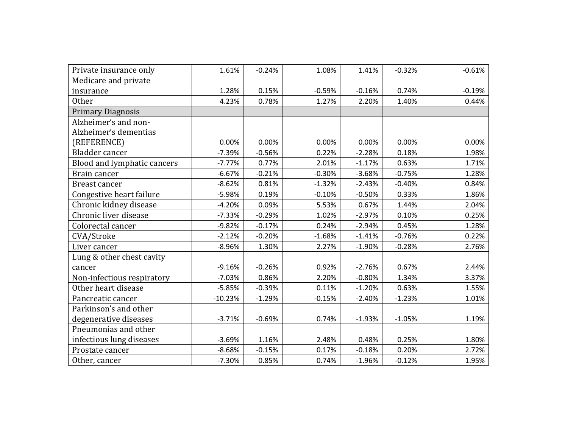| Private insurance only      | 1.61%     | $-0.24%$ | 1.08%    | 1.41%    | $-0.32%$ | $-0.61%$ |
|-----------------------------|-----------|----------|----------|----------|----------|----------|
| Medicare and private        |           |          |          |          |          |          |
| insurance                   | 1.28%     | 0.15%    | $-0.59%$ | $-0.16%$ | 0.74%    | $-0.19%$ |
| Other                       | 4.23%     | 0.78%    | 1.27%    | 2.20%    | 1.40%    | 0.44%    |
| <b>Primary Diagnosis</b>    |           |          |          |          |          |          |
| Alzheimer's and non-        |           |          |          |          |          |          |
| Alzheimer's dementias       |           |          |          |          |          |          |
| (REFERENCE)                 | 0.00%     | 0.00%    | 0.00%    | 0.00%    | 0.00%    | 0.00%    |
| Bladder cancer              | $-7.39%$  | $-0.56%$ | 0.22%    | $-2.28%$ | 0.18%    | 1.98%    |
| Blood and lymphatic cancers | $-7.77%$  | 0.77%    | 2.01%    | $-1.17%$ | 0.63%    | 1.71%    |
| Brain cancer                | $-6.67%$  | $-0.21%$ | $-0.30%$ | $-3.68%$ | $-0.75%$ | 1.28%    |
| Breast cancer               | $-8.62%$  | 0.81%    | $-1.32%$ | $-2.43%$ | $-0.40%$ | 0.84%    |
| Congestive heart failure    | $-5.98%$  | 0.19%    | $-0.10%$ | $-0.50%$ | 0.33%    | 1.86%    |
| Chronic kidney disease      | $-4.20%$  | 0.09%    | 5.53%    | 0.67%    | 1.44%    | 2.04%    |
| Chronic liver disease       | $-7.33%$  | $-0.29%$ | 1.02%    | $-2.97%$ | 0.10%    | 0.25%    |
| Colorectal cancer           | $-9.82%$  | $-0.17%$ | 0.24%    | $-2.94%$ | 0.45%    | 1.28%    |
| CVA/Stroke                  | $-2.12%$  | $-0.20%$ | $-1.68%$ | $-1.41%$ | $-0.76%$ | 0.22%    |
| Liver cancer                | $-8.96%$  | 1.30%    | 2.27%    | $-1.90%$ | $-0.28%$ | 2.76%    |
| Lung & other chest cavity   |           |          |          |          |          |          |
| cancer                      | $-9.16%$  | $-0.26%$ | 0.92%    | $-2.76%$ | 0.67%    | 2.44%    |
| Non-infectious respiratory  | $-7.03%$  | 0.86%    | 2.20%    | $-0.80%$ | 1.34%    | 3.37%    |
| Other heart disease         | $-5.85%$  | $-0.39%$ | 0.11%    | $-1.20%$ | 0.63%    | 1.55%    |
| Pancreatic cancer           | $-10.23%$ | $-1.29%$ | $-0.15%$ | $-2.40%$ | $-1.23%$ | 1.01%    |
| Parkinson's and other       |           |          |          |          |          |          |
| degenerative diseases       | $-3.71%$  | $-0.69%$ | 0.74%    | $-1.93%$ | $-1.05%$ | 1.19%    |
| Pneumonias and other        |           |          |          |          |          |          |
| infectious lung diseases    | $-3.69%$  | 1.16%    | 2.48%    | 0.48%    | 0.25%    | 1.80%    |
| Prostate cancer             | $-8.68%$  | $-0.15%$ | 0.17%    | $-0.18%$ | 0.20%    | 2.72%    |
| Other, cancer               | $-7.30%$  | 0.85%    | 0.74%    | $-1.96%$ | $-0.12%$ | 1.95%    |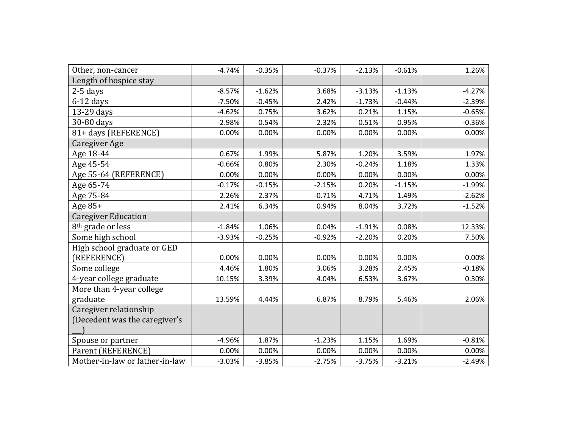| Other, non-cancer              | $-4.74%$ | $-0.35%$ | $-0.37%$ | $-2.13%$ | $-0.61%$ | 1.26%    |
|--------------------------------|----------|----------|----------|----------|----------|----------|
| Length of hospice stay         |          |          |          |          |          |          |
| $2-5$ days                     | $-8.57%$ | $-1.62%$ | 3.68%    | $-3.13%$ | $-1.13%$ | $-4.27%$ |
| $6-12$ days                    | $-7.50%$ | $-0.45%$ | 2.42%    | $-1.73%$ | $-0.44%$ | $-2.39%$ |
| 13-29 days                     | $-4.62%$ | 0.75%    | 3.62%    | 0.21%    | 1.15%    | $-0.65%$ |
| 30-80 days                     | $-2.98%$ | 0.54%    | 2.32%    | 0.51%    | 0.95%    | $-0.36%$ |
| 81+ days (REFERENCE)           | 0.00%    | 0.00%    | 0.00%    | 0.00%    | 0.00%    | 0.00%    |
| Caregiver Age                  |          |          |          |          |          |          |
| Age 18-44                      | 0.67%    | 1.99%    | 5.87%    | 1.20%    | 3.59%    | 1.97%    |
| Age 45-54                      | $-0.66%$ | 0.80%    | 2.30%    | $-0.24%$ | 1.18%    | 1.33%    |
| Age 55-64 (REFERENCE)          | 0.00%    | 0.00%    | 0.00%    | 0.00%    | 0.00%    | 0.00%    |
| Age 65-74                      | $-0.17%$ | $-0.15%$ | $-2.15%$ | 0.20%    | $-1.15%$ | $-1.99%$ |
| Age 75-84                      | 2.26%    | 2.37%    | $-0.71%$ | 4.71%    | 1.49%    | $-2.62%$ |
| Age $85+$                      | 2.41%    | 6.34%    | 0.94%    | 8.04%    | 3.72%    | $-1.52%$ |
| <b>Caregiver Education</b>     |          |          |          |          |          |          |
| 8 <sup>th</sup> grade or less  | $-1.84%$ | 1.06%    | 0.04%    | $-1.91%$ | 0.08%    | 12.33%   |
| Some high school               | $-3.93%$ | $-0.25%$ | $-0.92%$ | $-2.20%$ | 0.20%    | 7.50%    |
| High school graduate or GED    |          |          |          |          |          |          |
| (REFERENCE)                    | 0.00%    | 0.00%    | 0.00%    | 0.00%    | 0.00%    | 0.00%    |
| Some college                   | 4.46%    | 1.80%    | 3.06%    | 3.28%    | 2.45%    | $-0.18%$ |
| 4-year college graduate        | 10.15%   | 3.39%    | 4.04%    | 6.53%    | 3.67%    | 0.30%    |
| More than 4-year college       |          |          |          |          |          |          |
| graduate                       | 13.59%   | 4.44%    | 6.87%    | 8.79%    | 5.46%    | 2.06%    |
| Caregiver relationship         |          |          |          |          |          |          |
| (Decedent was the caregiver's  |          |          |          |          |          |          |
|                                |          |          |          |          |          |          |
| Spouse or partner              | $-4.96%$ | 1.87%    | $-1.23%$ | 1.15%    | 1.69%    | $-0.81%$ |
| Parent (REFERENCE)             | 0.00%    | 0.00%    | 0.00%    | 0.00%    | 0.00%    | 0.00%    |
| Mother-in-law or father-in-law | $-3.03%$ | $-3.85%$ | $-2.75%$ | $-3.75%$ | $-3.21%$ | $-2.49%$ |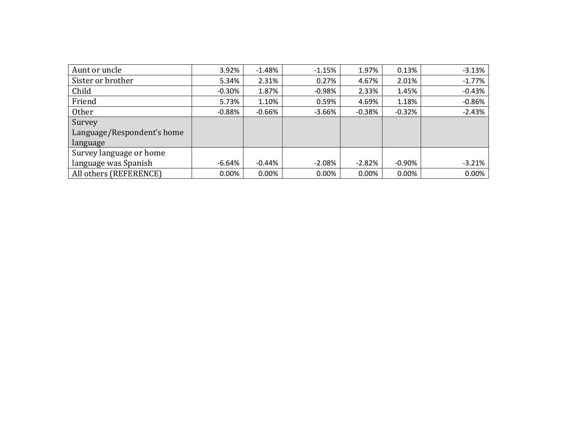| Aunt or uncle              | 3.92%    | $-1.48%$  | $-1.15%$ | 1.97%    | 0.13%     | $-3.13%$ |
|----------------------------|----------|-----------|----------|----------|-----------|----------|
| Sister or brother          | 5.34%    | 2.31%     | 0.27%    | 4.67%    | 2.01%     | $-1.77%$ |
| Child                      | $-0.30%$ | 1.87%     | $-0.98%$ | 2.33%    | 1.45%     | $-0.43%$ |
| Friend                     | 5.73%    | 1.10%     | 0.59%    | 4.69%    | 1.18%     | $-0.86%$ |
| <b>Other</b>               | $-0.88%$ | -0.66%    | $-3.66%$ | $-0.38%$ | $-0.32%$  | $-2.43%$ |
| Survey                     |          |           |          |          |           |          |
| Language/Respondent's home |          |           |          |          |           |          |
| language                   |          |           |          |          |           |          |
| Survey language or home    |          |           |          |          |           |          |
| language was Spanish       | $-6.64%$ | $-0.44\%$ | $-2.08%$ | $-2.82%$ | $-0.90\%$ | $-3.21%$ |
| All others (REFERENCE)     | 0.00%    | $0.00\%$  | 0.00%    | 0.00%    | 0.00%     | 0.00%    |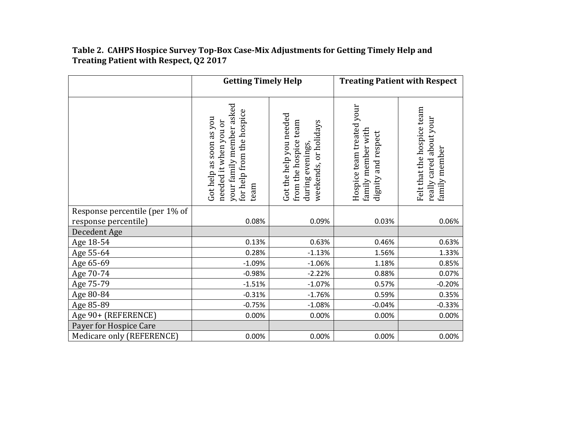#### **Table 2. CAHPS Hospice Survey Top-Box Case-Mix Adjustments for Getting Timely Help and Treating Patient with Respect, Q2 2017**

|                                      | <b>Getting Timely Help</b>                                                                                        |                                                                                               |                                                                        | <b>Treating Patient with Respect</b>                                   |
|--------------------------------------|-------------------------------------------------------------------------------------------------------------------|-----------------------------------------------------------------------------------------------|------------------------------------------------------------------------|------------------------------------------------------------------------|
|                                      | your family member asked<br>for help from the hospice<br>Got help as soon as you<br>needed it when you or<br>team | Got the help you needed<br>from the hospice team<br>weekends, or holidays<br>during evenings, | Hospice team treated your<br>family member with<br>dignity and respect | Felt that the hospice team<br>really cared about your<br>family member |
| Response percentile (per 1% of       | 0.08%                                                                                                             | 0.09%                                                                                         | 0.03%                                                                  |                                                                        |
| response percentile)<br>Decedent Age |                                                                                                                   |                                                                                               |                                                                        | 0.06%                                                                  |
| Age 18-54                            | 0.13%                                                                                                             | 0.63%                                                                                         | 0.46%                                                                  | 0.63%                                                                  |
| Age 55-64                            | 0.28%                                                                                                             | $-1.13%$                                                                                      | 1.56%                                                                  | 1.33%                                                                  |
| Age 65-69                            | $-1.09%$                                                                                                          | $-1.06%$                                                                                      | 1.18%                                                                  | 0.85%                                                                  |
| Age 70-74                            | $-0.98%$                                                                                                          | $-2.22%$                                                                                      | 0.88%                                                                  | 0.07%                                                                  |
| Age 75-79                            | $-1.51%$                                                                                                          | $-1.07%$                                                                                      | 0.57%                                                                  | $-0.20%$                                                               |
| Age 80-84                            | $-0.31%$                                                                                                          | $-1.76%$                                                                                      | 0.59%                                                                  | 0.35%                                                                  |
| Age 85-89                            | $-0.75%$                                                                                                          | $-1.08%$                                                                                      | $-0.04%$                                                               | $-0.33%$                                                               |
| Age 90+ (REFERENCE)                  | 0.00%                                                                                                             | 0.00%                                                                                         | 0.00%                                                                  | 0.00%                                                                  |
| Payer for Hospice Care               |                                                                                                                   |                                                                                               |                                                                        |                                                                        |
| Medicare only (REFERENCE)            | 0.00%                                                                                                             | 0.00%                                                                                         | 0.00%                                                                  | 0.00%                                                                  |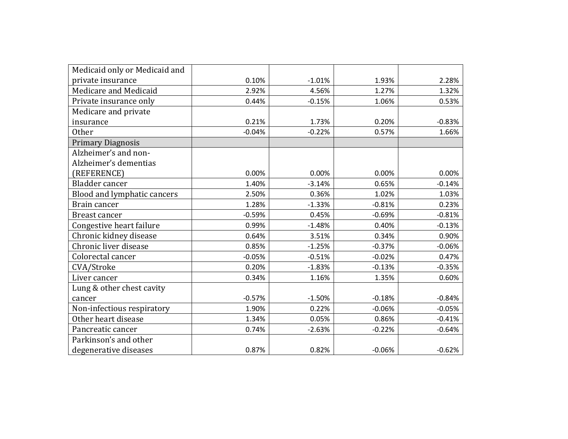| Medicaid only or Medicaid and |          |          |          |          |
|-------------------------------|----------|----------|----------|----------|
| private insurance             | 0.10%    | $-1.01%$ | 1.93%    | 2.28%    |
| Medicare and Medicaid         | 2.92%    | 4.56%    | 1.27%    | 1.32%    |
| Private insurance only        | 0.44%    | $-0.15%$ | 1.06%    | 0.53%    |
| Medicare and private          |          |          |          |          |
| insurance                     | 0.21%    | 1.73%    | 0.20%    | $-0.83%$ |
| Other                         | $-0.04%$ | $-0.22%$ | 0.57%    | 1.66%    |
| <b>Primary Diagnosis</b>      |          |          |          |          |
| Alzheimer's and non-          |          |          |          |          |
| Alzheimer's dementias         |          |          |          |          |
| (REFERENCE)                   | 0.00%    | 0.00%    | 0.00%    | 0.00%    |
| Bladder cancer                | 1.40%    | $-3.14%$ | 0.65%    | $-0.14%$ |
| Blood and lymphatic cancers   | 2.50%    | 0.36%    | 1.02%    | 1.03%    |
| Brain cancer                  | 1.28%    | $-1.33%$ | $-0.81%$ | 0.23%    |
| Breast cancer                 | $-0.59%$ | 0.45%    | $-0.69%$ | $-0.81%$ |
| Congestive heart failure      | 0.99%    | $-1.48%$ | 0.40%    | $-0.13%$ |
| Chronic kidney disease        | 0.64%    | 3.51%    | 0.34%    | 0.90%    |
| Chronic liver disease         | 0.85%    | $-1.25%$ | $-0.37%$ | $-0.06%$ |
| Colorectal cancer             | $-0.05%$ | $-0.51%$ | $-0.02%$ | 0.47%    |
| CVA/Stroke                    | 0.20%    | $-1.83%$ | $-0.13%$ | $-0.35%$ |
| Liver cancer                  | 0.34%    | 1.16%    | 1.35%    | 0.60%    |
| Lung & other chest cavity     |          |          |          |          |
| cancer                        | $-0.57%$ | $-1.50%$ | $-0.18%$ | $-0.84%$ |
| Non-infectious respiratory    | 1.90%    | 0.22%    | $-0.06%$ | $-0.05%$ |
| Other heart disease           | 1.34%    | 0.05%    | 0.86%    | $-0.41%$ |
| Pancreatic cancer             | 0.74%    | $-2.63%$ | $-0.22%$ | $-0.64%$ |
| Parkinson's and other         |          |          |          |          |
| degenerative diseases         | 0.87%    | 0.82%    | $-0.06%$ | $-0.62%$ |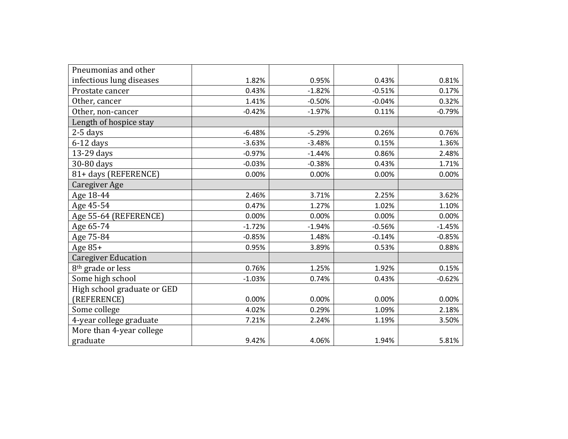| Pneumonias and other          |          |          |          |          |
|-------------------------------|----------|----------|----------|----------|
| infectious lung diseases      | 1.82%    | 0.95%    | 0.43%    | 0.81%    |
| Prostate cancer               | 0.43%    | $-1.82%$ | $-0.51%$ | 0.17%    |
| Other, cancer                 | 1.41%    | $-0.50%$ | $-0.04%$ | 0.32%    |
| Other, non-cancer             | $-0.42%$ | $-1.97%$ | 0.11%    | $-0.79%$ |
| Length of hospice stay        |          |          |          |          |
| 2-5 days                      | $-6.48%$ | $-5.29%$ | 0.26%    | 0.76%    |
| $6-12$ days                   | $-3.63%$ | $-3.48%$ | 0.15%    | 1.36%    |
| 13-29 days                    | $-0.97%$ | $-1.44%$ | 0.86%    | 2.48%    |
| 30-80 days                    | $-0.03%$ | $-0.38%$ | 0.43%    | 1.71%    |
| 81+ days (REFERENCE)          | 0.00%    | 0.00%    | 0.00%    | 0.00%    |
| Caregiver Age                 |          |          |          |          |
| Age 18-44                     | 2.46%    | 3.71%    | 2.25%    | 3.62%    |
| Age 45-54                     | 0.47%    | 1.27%    | 1.02%    | 1.10%    |
| Age 55-64 (REFERENCE)         | 0.00%    | 0.00%    | 0.00%    | 0.00%    |
| Age 65-74                     | $-1.72%$ | $-1.94%$ | $-0.56%$ | $-1.45%$ |
| Age 75-84                     | $-0.85%$ | 1.48%    | $-0.14%$ | $-0.85%$ |
| Age 85+                       | 0.95%    | 3.89%    | 0.53%    | 0.88%    |
| <b>Caregiver Education</b>    |          |          |          |          |
| 8 <sup>th</sup> grade or less | 0.76%    | 1.25%    | 1.92%    | 0.15%    |
| Some high school              | $-1.03%$ | 0.74%    | 0.43%    | $-0.62%$ |
| High school graduate or GED   |          |          |          |          |
| (REFERENCE)                   | 0.00%    | 0.00%    | 0.00%    | 0.00%    |
| Some college                  | 4.02%    | 0.29%    | 1.09%    | 2.18%    |
| 4-year college graduate       | 7.21%    | 2.24%    | 1.19%    | 3.50%    |
| More than 4-year college      |          |          |          |          |
| graduate                      | 9.42%    | 4.06%    | 1.94%    | 5.81%    |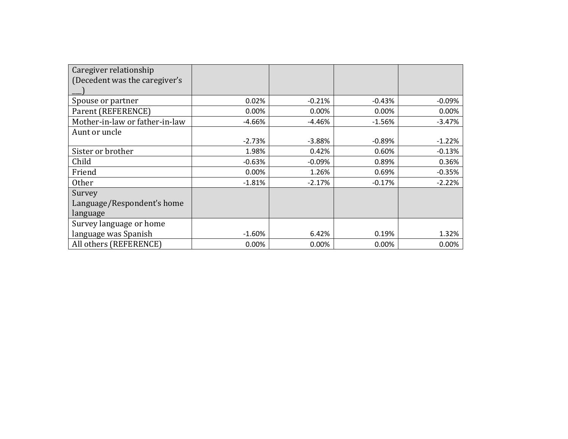| Caregiver relationship         |          |          |          |          |
|--------------------------------|----------|----------|----------|----------|
| (Decedent was the caregiver's  |          |          |          |          |
|                                |          |          |          |          |
| Spouse or partner              | 0.02%    | $-0.21%$ | $-0.43%$ | $-0.09%$ |
| Parent (REFERENCE)             | $0.00\%$ | 0.00%    | 0.00%    | 0.00%    |
| Mother-in-law or father-in-law | $-4.66%$ | $-4.46%$ | $-1.56%$ | $-3.47%$ |
| Aunt or uncle                  |          |          |          |          |
|                                | $-2.73%$ | $-3.88%$ | $-0.89%$ | $-1.22%$ |
| Sister or brother              | 1.98%    | 0.42%    | 0.60%    | $-0.13%$ |
| Child                          | $-0.63%$ | $-0.09%$ | 0.89%    | 0.36%    |
| Friend                         | 0.00%    | 1.26%    | 0.69%    | $-0.35%$ |
| <b>Other</b>                   | $-1.81%$ | $-2.17%$ | $-0.17%$ | $-2.22%$ |
| Survey                         |          |          |          |          |
| Language/Respondent's home     |          |          |          |          |
| language                       |          |          |          |          |
| Survey language or home        |          |          |          |          |
| language was Spanish           | $-1.60%$ | 6.42%    | 0.19%    | 1.32%    |
| All others (REFERENCE)         | 0.00%    | $0.00\%$ | 0.00%    | 0.00%    |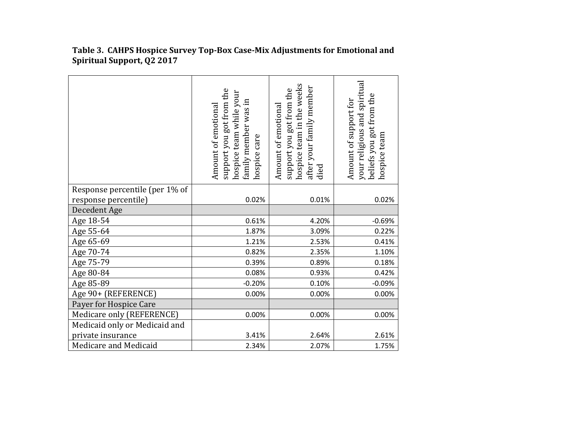|                                | support you got from the<br>hospice team while your<br>family member was in<br>Amount of emotional<br>hospice care | hospice team in the weeks<br>after your family member<br>support you got from the<br>Amount of emotional<br>died | your religious and spiritual<br>beliefs you got from the<br>Amount of support for<br>hospice team |
|--------------------------------|--------------------------------------------------------------------------------------------------------------------|------------------------------------------------------------------------------------------------------------------|---------------------------------------------------------------------------------------------------|
| Response percentile (per 1% of |                                                                                                                    |                                                                                                                  |                                                                                                   |
| response percentile)           | 0.02%                                                                                                              | 0.01%                                                                                                            | 0.02%                                                                                             |
| Decedent Age                   |                                                                                                                    |                                                                                                                  |                                                                                                   |
| Age 18-54                      | 0.61%                                                                                                              | 4.20%                                                                                                            | $-0.69%$                                                                                          |
| Age 55-64                      | 1.87%                                                                                                              | 3.09%                                                                                                            | 0.22%                                                                                             |
| Age 65-69                      | 1.21%                                                                                                              | 2.53%                                                                                                            | 0.41%                                                                                             |
| Age 70-74                      | 0.82%                                                                                                              | 2.35%                                                                                                            | 1.10%                                                                                             |
| Age 75-79                      | 0.39%                                                                                                              | 0.89%                                                                                                            | 0.18%                                                                                             |
| Age 80-84                      | 0.08%                                                                                                              | 0.93%                                                                                                            | 0.42%                                                                                             |
| Age 85-89                      | $-0.20%$                                                                                                           | 0.10%                                                                                                            | $-0.09%$                                                                                          |
| Age 90+ (REFERENCE)            | 0.00%                                                                                                              | 0.00%                                                                                                            | 0.00%                                                                                             |
| Payer for Hospice Care         |                                                                                                                    |                                                                                                                  |                                                                                                   |
| Medicare only (REFERENCE)      | 0.00%                                                                                                              | 0.00%                                                                                                            | 0.00%                                                                                             |
| Medicaid only or Medicaid and  |                                                                                                                    |                                                                                                                  |                                                                                                   |
| private insurance              | 3.41%                                                                                                              | 2.64%                                                                                                            | 2.61%                                                                                             |
| Medicare and Medicaid          | 2.34%                                                                                                              | 2.07%                                                                                                            | 1.75%                                                                                             |

**Table 3. CAHPS Hospice Survey Top-Box Case-Mix Adjustments for Emotional and Spiritual Support, Q2 2017**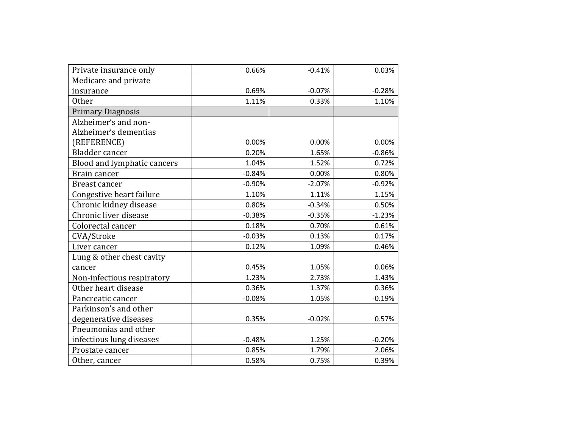| Private insurance only      | 0.66%    | $-0.41%$ | 0.03%    |
|-----------------------------|----------|----------|----------|
| Medicare and private        |          |          |          |
| insurance                   | 0.69%    | $-0.07%$ | $-0.28%$ |
| <b>Other</b>                | 1.11%    | 0.33%    | 1.10%    |
| <b>Primary Diagnosis</b>    |          |          |          |
| Alzheimer's and non-        |          |          |          |
| Alzheimer's dementias       |          |          |          |
| (REFERENCE)                 | 0.00%    | 0.00%    | 0.00%    |
| Bladder cancer              | 0.20%    | 1.65%    | $-0.86%$ |
| Blood and lymphatic cancers | 1.04%    | 1.52%    | 0.72%    |
| Brain cancer                | $-0.84%$ | 0.00%    | 0.80%    |
| Breast cancer               | $-0.90%$ | $-2.07%$ | $-0.92%$ |
| Congestive heart failure    | 1.10%    | 1.11%    | 1.15%    |
| Chronic kidney disease      | 0.80%    | $-0.34%$ | 0.50%    |
| Chronic liver disease       | $-0.38%$ | $-0.35%$ | $-1.23%$ |
| Colorectal cancer           | 0.18%    | 0.70%    | 0.61%    |
| CVA/Stroke                  | $-0.03%$ | 0.13%    | 0.17%    |
| Liver cancer                | 0.12%    | 1.09%    | 0.46%    |
| Lung & other chest cavity   |          |          |          |
| cancer                      | 0.45%    | 1.05%    | 0.06%    |
| Non-infectious respiratory  | 1.23%    | 2.73%    | 1.43%    |
| Other heart disease         | 0.36%    | 1.37%    | 0.36%    |
| Pancreatic cancer           | $-0.08%$ | 1.05%    | $-0.19%$ |
| Parkinson's and other       |          |          |          |
| degenerative diseases       | 0.35%    | $-0.02%$ | 0.57%    |
| Pneumonias and other        |          |          |          |
| infectious lung diseases    | $-0.48%$ | 1.25%    | $-0.20%$ |
| Prostate cancer             | 0.85%    | 1.79%    | 2.06%    |
| Other, cancer               | 0.58%    | 0.75%    | 0.39%    |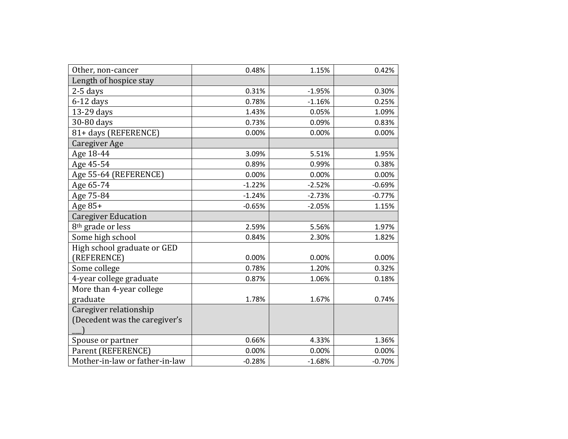| Other, non-cancer              | 0.48%    | 1.15%    | 0.42%    |
|--------------------------------|----------|----------|----------|
| Length of hospice stay         |          |          |          |
| $2-5$ days                     | 0.31%    | $-1.95%$ | 0.30%    |
| $6-12$ days                    | 0.78%    | $-1.16%$ | 0.25%    |
| 13-29 days                     | 1.43%    | 0.05%    | 1.09%    |
| 30-80 days                     | 0.73%    | 0.09%    | 0.83%    |
| 81+ days (REFERENCE)           | 0.00%    | 0.00%    | 0.00%    |
| <b>Caregiver Age</b>           |          |          |          |
| Age 18-44                      | 3.09%    | 5.51%    | 1.95%    |
| Age 45-54                      | 0.89%    | 0.99%    | 0.38%    |
| Age 55-64 (REFERENCE)          | 0.00%    | 0.00%    | 0.00%    |
| Age 65-74                      | $-1.22%$ | $-2.52%$ | $-0.69%$ |
| Age 75-84                      | $-1.24%$ | $-2.73%$ | $-0.77%$ |
| Age $85+$                      | $-0.65%$ | $-2.05%$ | 1.15%    |
| <b>Caregiver Education</b>     |          |          |          |
| 8 <sup>th</sup> grade or less  | 2.59%    | 5.56%    | 1.97%    |
| Some high school               | 0.84%    | 2.30%    | 1.82%    |
| High school graduate or GED    |          |          |          |
| (REFERENCE)                    | 0.00%    | 0.00%    | 0.00%    |
| Some college                   | 0.78%    | 1.20%    | 0.32%    |
| 4-year college graduate        | 0.87%    | 1.06%    | 0.18%    |
| More than 4-year college       |          |          |          |
| graduate                       | 1.78%    | 1.67%    | 0.74%    |
| Caregiver relationship         |          |          |          |
| (Decedent was the caregiver's  |          |          |          |
|                                |          |          |          |
| Spouse or partner              | 0.66%    | 4.33%    | 1.36%    |
| Parent (REFERENCE)             | 0.00%    | 0.00%    | 0.00%    |
| Mother-in-law or father-in-law | $-0.28%$ | $-1.68%$ | $-0.70%$ |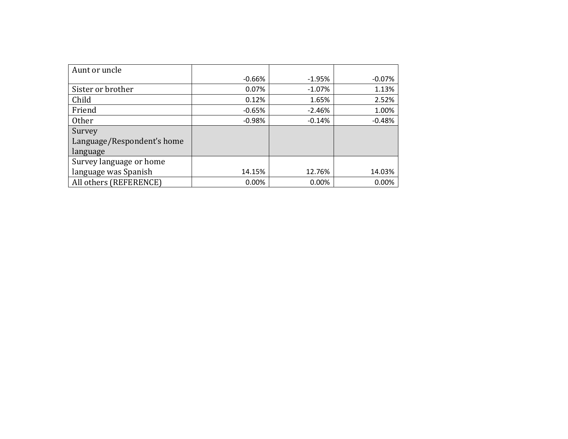| Aunt or uncle              |          |           |          |
|----------------------------|----------|-----------|----------|
|                            | $-0.66%$ | $-1.95\%$ | -0.07%   |
| Sister or brother          | 0.07%    | $-1.07\%$ | 1.13%    |
| Child                      | 0.12%    | 1.65%     | 2.52%    |
| Friend                     | $-0.65%$ | $-2.46%$  | 1.00%    |
| Other                      | $-0.98%$ | $-0.14%$  | $-0.48%$ |
| Survey                     |          |           |          |
| Language/Respondent's home |          |           |          |
| language                   |          |           |          |
| Survey language or home    |          |           |          |
| language was Spanish       | 14.15%   | 12.76%    | 14.03%   |
| All others (REFERENCE)     | 0.00%    | 0.00%     | 0.00%    |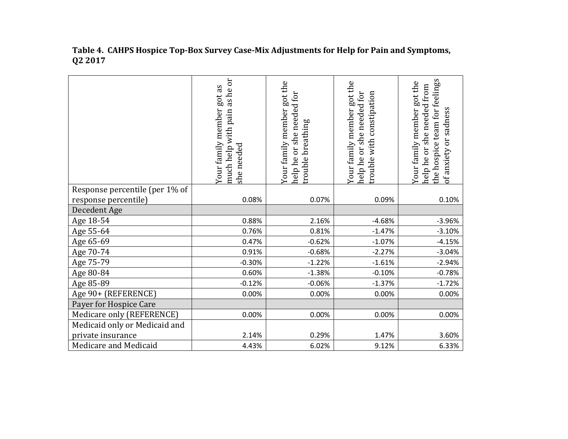|                                | as he or<br>Your family member got the<br>Your family member got as<br>or she needed for<br>much help with pain<br>breathing<br>she needed<br>rouble<br>help he |          | Your family member got the<br>help he or she needed for<br>with constipation<br>rouble | the hospice team for feelings<br>Your family member got the<br>she needed from<br>of anxiety or sadness<br>help he or |
|--------------------------------|-----------------------------------------------------------------------------------------------------------------------------------------------------------------|----------|----------------------------------------------------------------------------------------|-----------------------------------------------------------------------------------------------------------------------|
| Response percentile (per 1% of |                                                                                                                                                                 |          |                                                                                        |                                                                                                                       |
| response percentile)           | 0.08%                                                                                                                                                           | 0.07%    | 0.09%                                                                                  | 0.10%                                                                                                                 |
| Decedent Age                   |                                                                                                                                                                 |          |                                                                                        |                                                                                                                       |
| Age 18-54                      | 0.88%                                                                                                                                                           | 2.16%    | $-4.68%$                                                                               | $-3.96%$                                                                                                              |
| Age 55-64                      | 0.76%                                                                                                                                                           | 0.81%    | $-1.47%$                                                                               | $-3.10%$                                                                                                              |
| Age 65-69                      | 0.47%                                                                                                                                                           | $-0.62%$ | $-1.07%$                                                                               | $-4.15%$                                                                                                              |
| Age 70-74                      | 0.91%                                                                                                                                                           | $-0.68%$ | $-2.27%$                                                                               | $-3.04%$                                                                                                              |
| Age 75-79                      | $-0.30%$                                                                                                                                                        | $-1.22%$ | $-1.61%$                                                                               | $-2.94%$                                                                                                              |
| Age 80-84                      | 0.60%                                                                                                                                                           | $-1.38%$ | $-0.10%$                                                                               | $-0.78%$                                                                                                              |
| Age 85-89                      | $-0.12%$                                                                                                                                                        | $-0.06%$ | $-1.37%$                                                                               | $-1.72%$                                                                                                              |
| Age 90+ (REFERENCE)            | 0.00%                                                                                                                                                           | 0.00%    | 0.00%                                                                                  | 0.00%                                                                                                                 |
| Payer for Hospice Care         |                                                                                                                                                                 |          |                                                                                        |                                                                                                                       |
| Medicare only (REFERENCE)      | 0.00%                                                                                                                                                           | 0.00%    | 0.00%                                                                                  | 0.00%                                                                                                                 |
| Medicaid only or Medicaid and  |                                                                                                                                                                 |          |                                                                                        |                                                                                                                       |
| private insurance              | 2.14%                                                                                                                                                           | 0.29%    | 1.47%                                                                                  | 3.60%                                                                                                                 |
| Medicare and Medicaid          | 4.43%                                                                                                                                                           | 6.02%    | 9.12%                                                                                  | 6.33%                                                                                                                 |

**Table 4. CAHPS Hospice Top-Box Survey Case-Mix Adjustments for Help for Pain and Symptoms, Q2 2017**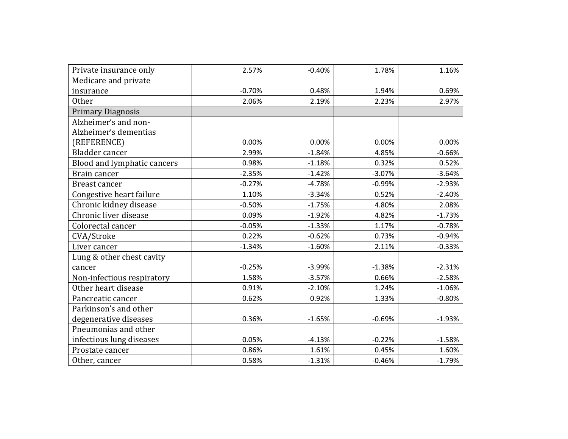| Private insurance only      | 2.57%    | $-0.40%$ | 1.78%    | 1.16%    |
|-----------------------------|----------|----------|----------|----------|
| Medicare and private        |          |          |          |          |
| insurance                   | $-0.70%$ | 0.48%    | 1.94%    | 0.69%    |
| <b>Other</b>                | 2.06%    | 2.19%    | 2.23%    | 2.97%    |
| <b>Primary Diagnosis</b>    |          |          |          |          |
| Alzheimer's and non-        |          |          |          |          |
| Alzheimer's dementias       |          |          |          |          |
| (REFERENCE)                 | 0.00%    | 0.00%    | 0.00%    | 0.00%    |
| Bladder cancer              | 2.99%    | $-1.84%$ | 4.85%    | $-0.66%$ |
| Blood and lymphatic cancers | 0.98%    | $-1.18%$ | 0.32%    | 0.52%    |
| Brain cancer                | $-2.35%$ | $-1.42%$ | $-3.07%$ | $-3.64%$ |
| Breast cancer               | $-0.27%$ | $-4.78%$ | $-0.99%$ | $-2.93%$ |
| Congestive heart failure    | 1.10%    | $-3.34%$ | 0.52%    | $-2.40%$ |
| Chronic kidney disease      | $-0.50%$ | $-1.75%$ | 4.80%    | 2.08%    |
| Chronic liver disease       | 0.09%    | $-1.92%$ | 4.82%    | $-1.73%$ |
| Colorectal cancer           | $-0.05%$ | $-1.33%$ | 1.17%    | $-0.78%$ |
| CVA/Stroke                  | 0.22%    | $-0.62%$ | 0.73%    | $-0.94%$ |
| Liver cancer                | $-1.34%$ | $-1.60%$ | 2.11%    | $-0.33%$ |
| Lung & other chest cavity   |          |          |          |          |
| cancer                      | $-0.25%$ | $-3.99%$ | $-1.38%$ | $-2.31%$ |
| Non-infectious respiratory  | 1.58%    | $-3.57%$ | 0.66%    | $-2.58%$ |
| Other heart disease         | 0.91%    | $-2.10%$ | 1.24%    | $-1.06%$ |
| Pancreatic cancer           | 0.62%    | 0.92%    | 1.33%    | $-0.80%$ |
| Parkinson's and other       |          |          |          |          |
| degenerative diseases       | 0.36%    | $-1.65%$ | $-0.69%$ | $-1.93%$ |
| Pneumonias and other        |          |          |          |          |
| infectious lung diseases    | 0.05%    | $-4.13%$ | $-0.22%$ | $-1.58%$ |
| Prostate cancer             | 0.86%    | 1.61%    | 0.45%    | 1.60%    |
| Other, cancer               | 0.58%    | $-1.31%$ | $-0.46%$ | $-1.79%$ |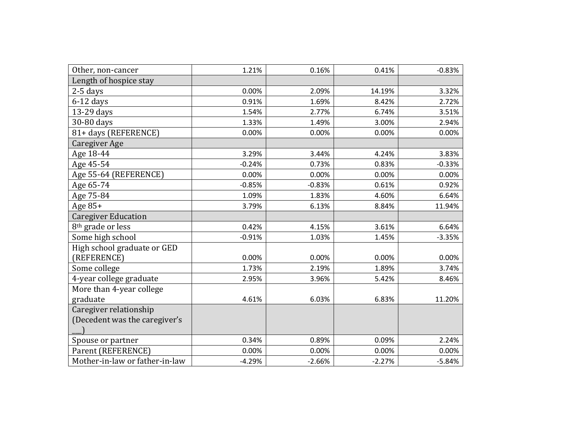| Other, non-cancer              | 1.21%    | 0.16%    | 0.41%    | $-0.83%$ |
|--------------------------------|----------|----------|----------|----------|
| Length of hospice stay         |          |          |          |          |
| $2-5$ days                     | 0.00%    | 2.09%    | 14.19%   | 3.32%    |
| $6-12$ days                    | 0.91%    | 1.69%    | 8.42%    | 2.72%    |
| 13-29 days                     | 1.54%    | 2.77%    | 6.74%    | 3.51%    |
| 30-80 days                     | 1.33%    | 1.49%    | 3.00%    | 2.94%    |
| 81+ days (REFERENCE)           | 0.00%    | 0.00%    | 0.00%    | 0.00%    |
| Caregiver Age                  |          |          |          |          |
| Age 18-44                      | 3.29%    | 3.44%    | 4.24%    | 3.83%    |
| Age 45-54                      | $-0.24%$ | 0.73%    | 0.83%    | $-0.33%$ |
| Age 55-64 (REFERENCE)          | 0.00%    | 0.00%    | 0.00%    | 0.00%    |
| Age 65-74                      | $-0.85%$ | $-0.83%$ | 0.61%    | 0.92%    |
| Age 75-84                      | 1.09%    | 1.83%    | 4.60%    | 6.64%    |
| Age $85+$                      | 3.79%    | 6.13%    | 8.84%    | 11.94%   |
| <b>Caregiver Education</b>     |          |          |          |          |
| 8 <sup>th</sup> grade or less  | 0.42%    | 4.15%    | 3.61%    | 6.64%    |
| Some high school               | $-0.91%$ | 1.03%    | 1.45%    | $-3.35%$ |
| High school graduate or GED    |          |          |          |          |
| (REFERENCE)                    | 0.00%    | 0.00%    | 0.00%    | 0.00%    |
| Some college                   | 1.73%    | 2.19%    | 1.89%    | 3.74%    |
| 4-year college graduate        | 2.95%    | 3.96%    | 5.42%    | 8.46%    |
| More than 4-year college       |          |          |          |          |
| graduate                       | 4.61%    | 6.03%    | 6.83%    | 11.20%   |
| Caregiver relationship         |          |          |          |          |
| (Decedent was the caregiver's  |          |          |          |          |
|                                |          |          |          |          |
| Spouse or partner              | 0.34%    | 0.89%    | 0.09%    | 2.24%    |
| Parent (REFERENCE)             | 0.00%    | 0.00%    | 0.00%    | 0.00%    |
| Mother-in-law or father-in-law | $-4.29%$ | $-2.66%$ | $-2.27%$ | $-5.84%$ |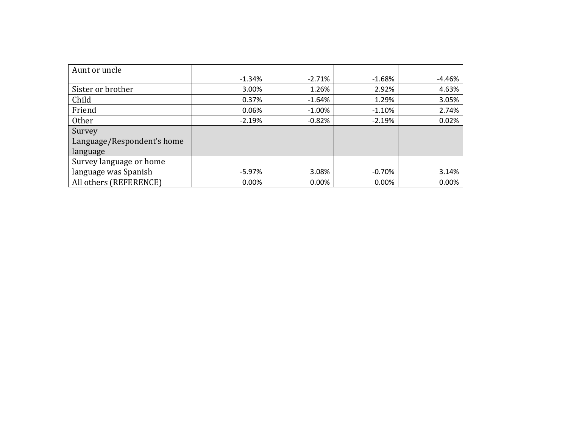| Aunt or uncle              |           |           |          |          |
|----------------------------|-----------|-----------|----------|----------|
|                            | $-1.34%$  | $-2.71%$  | $-1.68%$ | $-4.46%$ |
| Sister or brother          | 3.00%     | 1.26%     | 2.92%    | 4.63%    |
| Child                      | 0.37%     | $-1.64%$  | 1.29%    | 3.05%    |
| Friend                     | 0.06%     | $-1.00\%$ | $-1.10%$ | 2.74%    |
| <b>Other</b>               | $-2.19%$  | $-0.82%$  | $-2.19%$ | 0.02%    |
| Survey                     |           |           |          |          |
| Language/Respondent's home |           |           |          |          |
| language                   |           |           |          |          |
| Survey language or home    |           |           |          |          |
| language was Spanish       | $-5.97\%$ | 3.08%     | $-0.70%$ | 3.14%    |
| All others (REFERENCE)     | 0.00%     | 0.00%     | 0.00%    | 0.00%    |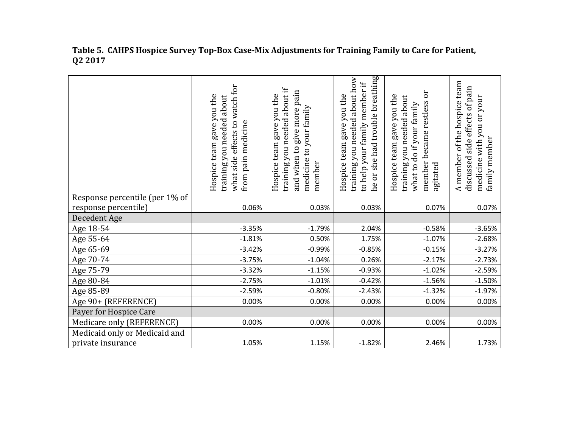|                                | what side effects to watch for<br>Hospice team gave you the<br>training you needed about<br>pain medicine<br>from | training you needed about if<br>and when to give more pain<br>Hospice team gave you the<br>medicine to your family<br>member | he or she had trouble breathing<br>training you needed about how<br>to help your family member if<br>Hospice team gave you the | $\overline{\text{o}}$<br>Hospice team gave you the<br>training you needed about<br>member became restless<br>do if your family<br>agitated<br>what to | A member of the hospice team<br>side effects of pain<br>medicine with you or your<br>family member<br>discussed |
|--------------------------------|-------------------------------------------------------------------------------------------------------------------|------------------------------------------------------------------------------------------------------------------------------|--------------------------------------------------------------------------------------------------------------------------------|-------------------------------------------------------------------------------------------------------------------------------------------------------|-----------------------------------------------------------------------------------------------------------------|
| Response percentile (per 1% of |                                                                                                                   |                                                                                                                              |                                                                                                                                |                                                                                                                                                       |                                                                                                                 |
| response percentile)           | 0.06%                                                                                                             | 0.03%                                                                                                                        | 0.03%                                                                                                                          | 0.07%                                                                                                                                                 | 0.07%                                                                                                           |
| Decedent Age                   |                                                                                                                   |                                                                                                                              |                                                                                                                                |                                                                                                                                                       |                                                                                                                 |
| Age 18-54                      | $-3.35%$                                                                                                          | $-1.79%$                                                                                                                     | 2.04%                                                                                                                          | $-0.58%$                                                                                                                                              | $-3.65%$                                                                                                        |
| Age 55-64                      | $-1.81%$                                                                                                          | 0.50%                                                                                                                        | 1.75%                                                                                                                          | $-1.07%$                                                                                                                                              | $-2.68%$                                                                                                        |
| Age 65-69                      | $-3.42%$                                                                                                          | $-0.99%$                                                                                                                     | $-0.85%$                                                                                                                       | $-0.15%$                                                                                                                                              | $-3.27%$                                                                                                        |
| Age 70-74                      | $-3.75%$                                                                                                          | $-1.04%$                                                                                                                     | 0.26%                                                                                                                          | $-2.17%$                                                                                                                                              | $-2.73%$                                                                                                        |
| Age 75-79                      | $-3.32%$                                                                                                          | $-1.15%$                                                                                                                     | $-0.93%$                                                                                                                       | $-1.02%$                                                                                                                                              | $-2.59%$                                                                                                        |
| Age 80-84                      | $-2.75%$                                                                                                          | $-1.01%$                                                                                                                     | $-0.42%$                                                                                                                       | $-1.56%$                                                                                                                                              | $-1.50%$                                                                                                        |
| Age 85-89                      | $-2.59%$                                                                                                          | $-0.80%$                                                                                                                     | $-2.43%$                                                                                                                       | $-1.32%$                                                                                                                                              | $-1.97%$                                                                                                        |
| Age 90+ (REFERENCE)            | 0.00%                                                                                                             | 0.00%                                                                                                                        | 0.00%                                                                                                                          | 0.00%                                                                                                                                                 | 0.00%                                                                                                           |
| Payer for Hospice Care         |                                                                                                                   |                                                                                                                              |                                                                                                                                |                                                                                                                                                       |                                                                                                                 |
| Medicare only (REFERENCE)      | 0.00%                                                                                                             | 0.00%                                                                                                                        | 0.00%                                                                                                                          | 0.00%                                                                                                                                                 | 0.00%                                                                                                           |
| Medicaid only or Medicaid and  |                                                                                                                   |                                                                                                                              |                                                                                                                                |                                                                                                                                                       |                                                                                                                 |
| private insurance              | 1.05%                                                                                                             | 1.15%                                                                                                                        | $-1.82%$                                                                                                                       | 2.46%                                                                                                                                                 | 1.73%                                                                                                           |

**Table 5. CAHPS Hospice Survey Top-Box Case-Mix Adjustments for Training Family to Care for Patient, Q2 2017**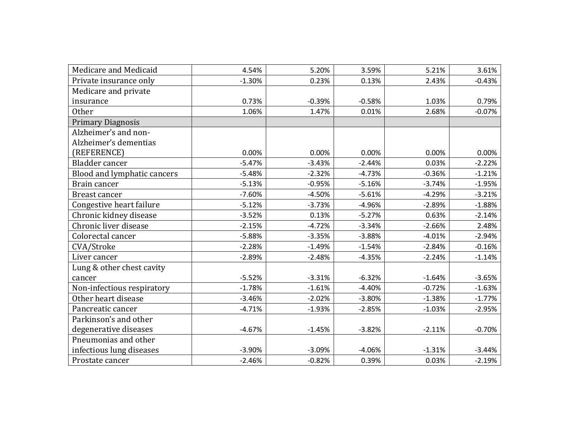| Medicare and Medicaid       | 4.54%    | 5.20%    | 3.59%    | 5.21%    | 3.61%    |
|-----------------------------|----------|----------|----------|----------|----------|
| Private insurance only      | $-1.30%$ | 0.23%    | 0.13%    | 2.43%    | $-0.43%$ |
| Medicare and private        |          |          |          |          |          |
| insurance                   | 0.73%    | $-0.39%$ | $-0.58%$ | 1.03%    | 0.79%    |
| Other                       | 1.06%    | 1.47%    | 0.01%    | 2.68%    | $-0.07%$ |
| <b>Primary Diagnosis</b>    |          |          |          |          |          |
| Alzheimer's and non-        |          |          |          |          |          |
| Alzheimer's dementias       |          |          |          |          |          |
| (REFERENCE)                 | 0.00%    | 0.00%    | 0.00%    | 0.00%    | 0.00%    |
| Bladder cancer              | $-5.47%$ | $-3.43%$ | $-2.44%$ | 0.03%    | $-2.22%$ |
| Blood and lymphatic cancers | $-5.48%$ | $-2.32%$ | $-4.73%$ | $-0.36%$ | $-1.21%$ |
| Brain cancer                | $-5.13%$ | $-0.95%$ | $-5.16%$ | $-3.74%$ | $-1.95%$ |
| Breast cancer               | $-7.60%$ | $-4.50%$ | $-5.61%$ | $-4.29%$ | $-3.21%$ |
| Congestive heart failure    | $-5.12%$ | $-3.73%$ | $-4.96%$ | $-2.89%$ | $-1.88%$ |
| Chronic kidney disease      | $-3.52%$ | 0.13%    | $-5.27%$ | 0.63%    | $-2.14%$ |
| Chronic liver disease       | $-2.15%$ | $-4.72%$ | $-3.34%$ | $-2.66%$ | 2.48%    |
| Colorectal cancer           | $-5.88%$ | $-3.35%$ | $-3.88%$ | $-4.01%$ | $-2.94%$ |
| CVA/Stroke                  | $-2.28%$ | $-1.49%$ | $-1.54%$ | $-2.84%$ | $-0.16%$ |
| Liver cancer                | $-2.89%$ | $-2.48%$ | $-4.35%$ | $-2.24%$ | $-1.14%$ |
| Lung & other chest cavity   |          |          |          |          |          |
| cancer                      | $-5.52%$ | $-3.31%$ | $-6.32%$ | $-1.64%$ | $-3.65%$ |
| Non-infectious respiratory  | $-1.78%$ | $-1.61%$ | $-4.40%$ | $-0.72%$ | $-1.63%$ |
| Other heart disease         | $-3.46%$ | $-2.02%$ | $-3.80%$ | $-1.38%$ | $-1.77%$ |
| Pancreatic cancer           | $-4.71%$ | $-1.93%$ | $-2.85%$ | $-1.03%$ | $-2.95%$ |
| Parkinson's and other       |          |          |          |          |          |
| degenerative diseases       | $-4.67%$ | $-1.45%$ | $-3.82%$ | $-2.11%$ | $-0.70%$ |
| Pneumonias and other        |          |          |          |          |          |
| infectious lung diseases    | $-3.90%$ | $-3.09%$ | $-4.06%$ | $-1.31%$ | $-3.44%$ |
| Prostate cancer             | $-2.46%$ | $-0.82%$ | 0.39%    | 0.03%    | $-2.19%$ |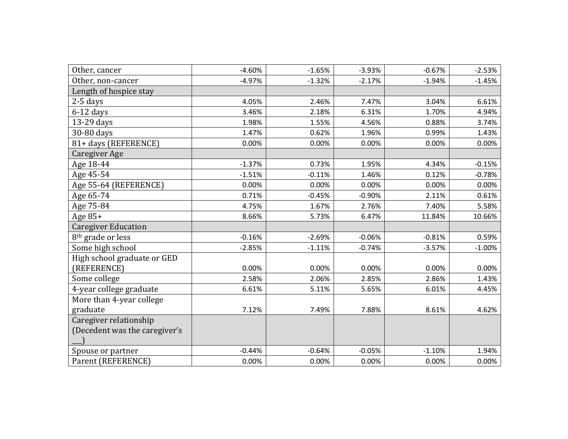| Other, cancer                 | $-4.60%$ | $-1.65%$ | $-3.93%$ | $-0.67%$ | $-2.53%$ |
|-------------------------------|----------|----------|----------|----------|----------|
| Other, non-cancer             | $-4.97%$ | $-1.32%$ | $-2.17%$ | $-1.94%$ | $-1.45%$ |
| Length of hospice stay        |          |          |          |          |          |
| $2-5$ days                    | 4.05%    | 2.46%    | 7.47%    | 3.04%    | 6.61%    |
| $6-12$ days                   | 3.46%    | 2.18%    | 6.31%    | 1.70%    | 4.94%    |
| 13-29 days                    | 1.98%    | 1.55%    | 4.56%    | 0.88%    | 3.74%    |
| 30-80 days                    | 1.47%    | 0.62%    | 1.96%    | 0.99%    | 1.43%    |
| 81+ days (REFERENCE)          | 0.00%    | 0.00%    | 0.00%    | 0.00%    | 0.00%    |
| Caregiver Age                 |          |          |          |          |          |
| Age 18-44                     | $-1.37%$ | 0.73%    | 1.95%    | 4.34%    | $-0.15%$ |
| Age 45-54                     | $-1.51%$ | $-0.11%$ | 1.46%    | 0.12%    | $-0.78%$ |
| Age 55-64 (REFERENCE)         | 0.00%    | 0.00%    | 0.00%    | 0.00%    | 0.00%    |
| Age 65-74                     | 0.71%    | $-0.45%$ | $-0.90%$ | 2.11%    | 0.61%    |
| Age 75-84                     | 4.75%    | 1.67%    | 2.76%    | 7.40%    | 5.58%    |
| Age $85+$                     | 8.66%    | 5.73%    | 6.47%    | 11.84%   | 10.66%   |
| <b>Caregiver Education</b>    |          |          |          |          |          |
| 8 <sup>th</sup> grade or less | $-0.16%$ | $-2.69%$ | $-0.06%$ | $-0.81%$ | 0.59%    |
| Some high school              | $-2.85%$ | $-1.11%$ | $-0.74%$ | $-3.57%$ | $-1.00%$ |
| High school graduate or GED   |          |          |          |          |          |
| (REFERENCE)                   | 0.00%    | 0.00%    | 0.00%    | 0.00%    | 0.00%    |
| Some college                  | 2.58%    | 2.06%    | 2.85%    | 2.86%    | 1.43%    |
| 4-year college graduate       | 6.61%    | 5.11%    | 5.65%    | 6.01%    | 4.45%    |
| More than 4-year college      |          |          |          |          |          |
| graduate                      | 7.12%    | 7.49%    | 7.88%    | 8.61%    | 4.62%    |
| Caregiver relationship        |          |          |          |          |          |
| (Decedent was the caregiver's |          |          |          |          |          |
|                               |          |          |          |          |          |
| Spouse or partner             | $-0.44%$ | $-0.64%$ | $-0.05%$ | $-1.10%$ | 1.94%    |
| Parent (REFERENCE)            | 0.00%    | 0.00%    | 0.00%    | 0.00%    | 0.00%    |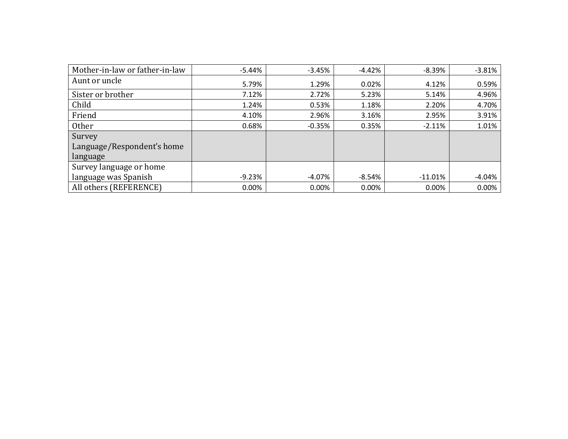| Mother-in-law or father-in-law | -5.44%   | $-3.45%$  | $-4.42%$ | $-8.39%$  | $-3.81%$ |
|--------------------------------|----------|-----------|----------|-----------|----------|
| Aunt or uncle                  | 5.79%    | 1.29%     | 0.02%    | 4.12%     | 0.59%    |
| Sister or brother              | 7.12%    | 2.72%     | 5.23%    | 5.14%     | 4.96%    |
| Child                          | 1.24%    | 0.53%     | 1.18%    | 2.20%     | 4.70%    |
| Friend                         | 4.10%    | 2.96%     | 3.16%    | 2.95%     | 3.91%    |
| Other                          | 0.68%    | $-0.35%$  | 0.35%    | $-2.11%$  | 1.01%    |
| Survey                         |          |           |          |           |          |
| Language/Respondent's home     |          |           |          |           |          |
| language                       |          |           |          |           |          |
| Survey language or home        |          |           |          |           |          |
| language was Spanish           | $-9.23%$ | $-4.07\%$ | $-8.54%$ | $-11.01%$ | $-4.04%$ |
| All others (REFERENCE)         | 0.00%    | 0.00%     | 0.00%    | 0.00%     | 0.00%    |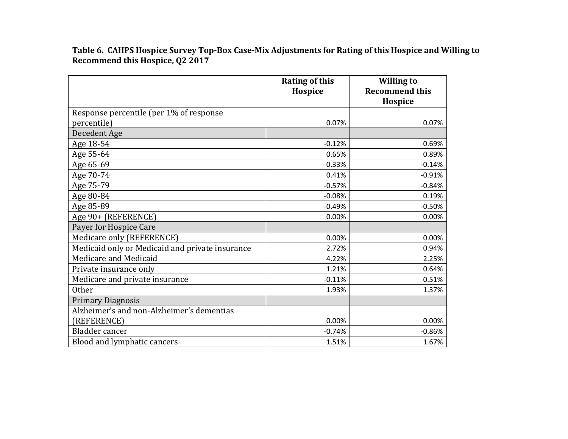**Table 6. CAHPS Hospice Survey Top-Box Case-Mix Adjustments for Rating of this Hospice and Willing to Recommend this Hospice, Q2 2017**

|                                                 | <b>Rating of this</b><br>Hospice | <b>Willing to</b><br><b>Recommend this</b><br>Hospice |
|-------------------------------------------------|----------------------------------|-------------------------------------------------------|
| Response percentile (per 1% of response         |                                  |                                                       |
| percentile)                                     | 0.07%                            | 0.07%                                                 |
| Decedent Age                                    |                                  |                                                       |
| Age 18-54                                       | $-0.12%$                         | 0.69%                                                 |
| Age 55-64                                       | 0.65%                            | 0.89%                                                 |
| Age 65-69                                       | 0.33%                            | $-0.14%$                                              |
| Age 70-74                                       | 0.41%                            | $-0.91%$                                              |
| Age 75-79                                       | $-0.57%$                         | $-0.84%$                                              |
| Age 80-84                                       | $-0.08%$                         | 0.19%                                                 |
| Age 85-89                                       | $-0.49%$                         | $-0.50%$                                              |
| Age 90+ (REFERENCE)                             | 0.00%                            | 0.00%                                                 |
| Payer for Hospice Care                          |                                  |                                                       |
| Medicare only (REFERENCE)                       | 0.00%                            | 0.00%                                                 |
| Medicaid only or Medicaid and private insurance | 2.72%                            | 0.94%                                                 |
| Medicare and Medicaid                           | 4.22%                            | 2.25%                                                 |
| Private insurance only                          | 1.21%                            | 0.64%                                                 |
| Medicare and private insurance                  | $-0.11%$                         | 0.51%                                                 |
| <b>Other</b>                                    | 1.93%                            | 1.37%                                                 |
| <b>Primary Diagnosis</b>                        |                                  |                                                       |
| Alzheimer's and non-Alzheimer's dementias       |                                  |                                                       |
| (REFERENCE)                                     | 0.00%                            | 0.00%                                                 |
| Bladder cancer                                  | $-0.74%$                         | $-0.86%$                                              |
| Blood and lymphatic cancers                     | 1.51%                            | 1.67%                                                 |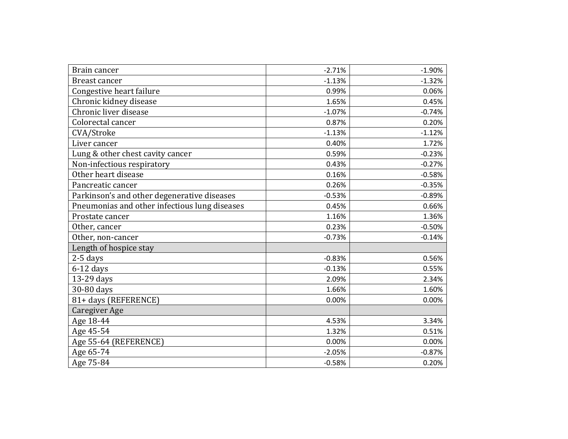| Brain cancer                                  | $-2.71%$ | $-1.90%$ |
|-----------------------------------------------|----------|----------|
| Breast cancer                                 | $-1.13%$ | $-1.32%$ |
| Congestive heart failure                      | 0.99%    | 0.06%    |
| Chronic kidney disease                        | 1.65%    | 0.45%    |
| Chronic liver disease                         | $-1.07%$ | $-0.74%$ |
| Colorectal cancer                             | 0.87%    | 0.20%    |
| CVA/Stroke                                    | $-1.13%$ | $-1.12%$ |
| Liver cancer                                  | 0.40%    | 1.72%    |
| Lung & other chest cavity cancer              | 0.59%    | $-0.23%$ |
| Non-infectious respiratory                    | 0.43%    | $-0.27%$ |
| Other heart disease                           | 0.16%    | $-0.58%$ |
| Pancreatic cancer                             | 0.26%    | $-0.35%$ |
| Parkinson's and other degenerative diseases   | $-0.53%$ | $-0.89%$ |
| Pneumonias and other infectious lung diseases | 0.45%    | 0.66%    |
| Prostate cancer                               | 1.16%    | 1.36%    |
| Other, cancer                                 | 0.23%    | $-0.50%$ |
| Other, non-cancer                             | $-0.73%$ | $-0.14%$ |
| Length of hospice stay                        |          |          |
| $2-5$ days                                    | $-0.83%$ | 0.56%    |
| $6-12$ days                                   | $-0.13%$ | 0.55%    |
| 13-29 days                                    | 2.09%    | 2.34%    |
| 30-80 days                                    | 1.66%    | 1.60%    |
| 81+ days (REFERENCE)                          | 0.00%    | 0.00%    |
| <b>Caregiver Age</b>                          |          |          |
| Age 18-44                                     | 4.53%    | 3.34%    |
| Age 45-54                                     | 1.32%    | 0.51%    |
| Age 55-64 (REFERENCE)                         | 0.00%    | 0.00%    |
| Age 65-74                                     | $-2.05%$ | $-0.87%$ |
| Age 75-84                                     | $-0.58%$ | 0.20%    |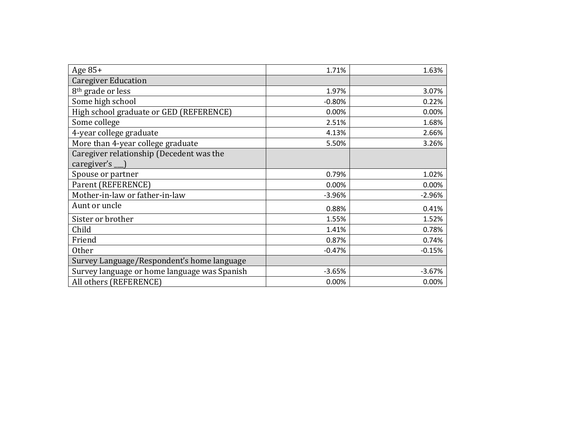| Age $85+$                                    | 1.71%    | 1.63%    |
|----------------------------------------------|----------|----------|
| <b>Caregiver Education</b>                   |          |          |
| 8 <sup>th</sup> grade or less                | 1.97%    | 3.07%    |
| Some high school                             | $-0.80%$ | 0.22%    |
| High school graduate or GED (REFERENCE)      | 0.00%    | 0.00%    |
| Some college                                 | 2.51%    | 1.68%    |
| 4-year college graduate                      | 4.13%    | 2.66%    |
| More than 4-year college graduate            | 5.50%    | 3.26%    |
| Caregiver relationship (Decedent was the     |          |          |
| caregiver's $\Box$                           |          |          |
| Spouse or partner                            | 0.79%    | 1.02%    |
| Parent (REFERENCE)                           | 0.00%    | 0.00%    |
| Mother-in-law or father-in-law               | $-3.96%$ | $-2.96%$ |
| Aunt or uncle                                | 0.88%    | 0.41%    |
| Sister or brother                            | 1.55%    | 1.52%    |
| Child                                        | 1.41%    | 0.78%    |
| Friend                                       | 0.87%    | 0.74%    |
| <b>Other</b>                                 | $-0.47%$ | $-0.15%$ |
| Survey Language/Respondent's home language   |          |          |
| Survey language or home language was Spanish | $-3.65%$ | $-3.67%$ |
| All others (REFERENCE)                       | 0.00%    | 0.00%    |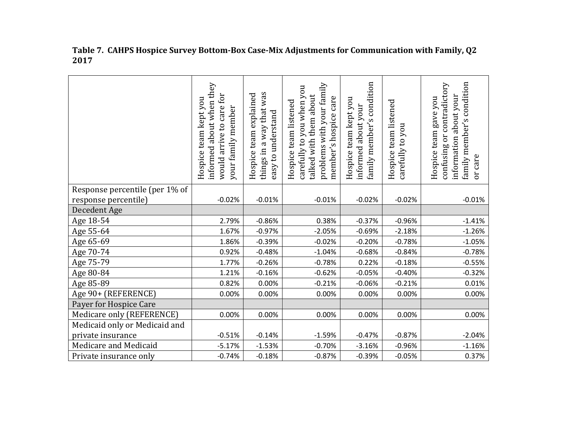|                                | informed about when they<br>would arrive to care for<br>Hospice team kept you<br>your family member | things in a way that was<br>explained<br>easy to understand<br>team<br>Hospice | problems with your family<br>carefully to you when you<br>talked with them about<br>member's hospice care<br>Hospice team listened | condition<br>Hospice team kept you<br>informed about your<br>$\sim$<br>family member' | Hospice team listened<br>carefully to you | condition<br>confusing or contradictory<br>information about your<br>Hospice team gave you<br>family member's<br>or care |
|--------------------------------|-----------------------------------------------------------------------------------------------------|--------------------------------------------------------------------------------|------------------------------------------------------------------------------------------------------------------------------------|---------------------------------------------------------------------------------------|-------------------------------------------|--------------------------------------------------------------------------------------------------------------------------|
| Response percentile (per 1% of |                                                                                                     |                                                                                |                                                                                                                                    |                                                                                       |                                           |                                                                                                                          |
| response percentile)           | $-0.02%$                                                                                            | $-0.01%$                                                                       | $-0.01%$                                                                                                                           | $-0.02%$                                                                              | $-0.02%$                                  | $-0.01%$                                                                                                                 |
| Decedent Age                   |                                                                                                     |                                                                                |                                                                                                                                    |                                                                                       |                                           |                                                                                                                          |
| Age 18-54                      | 2.79%                                                                                               | $-0.86%$                                                                       | 0.38%                                                                                                                              | $-0.37%$                                                                              | $-0.96%$                                  | $-1.41%$                                                                                                                 |
| Age 55-64                      | 1.67%                                                                                               | $-0.97%$                                                                       | $-2.05%$                                                                                                                           | $-0.69%$                                                                              | $-2.18%$                                  | $-1.26%$                                                                                                                 |
| Age 65-69                      | 1.86%                                                                                               | $-0.39%$                                                                       | $-0.02%$                                                                                                                           | $-0.20%$                                                                              | $-0.78%$                                  | $-1.05%$                                                                                                                 |
| Age 70-74                      | 0.92%                                                                                               | $-0.48%$                                                                       | $-1.04%$                                                                                                                           | $-0.68%$                                                                              | $-0.84%$                                  | $-0.78%$                                                                                                                 |
| Age 75-79                      | 1.77%                                                                                               | $-0.26%$                                                                       | $-0.78%$                                                                                                                           | 0.22%                                                                                 | $-0.18%$                                  | $-0.55%$                                                                                                                 |
| Age 80-84                      | 1.21%                                                                                               | $-0.16%$                                                                       | $-0.62%$                                                                                                                           | $-0.05%$                                                                              | $-0.40%$                                  | $-0.32%$                                                                                                                 |
| Age 85-89                      | 0.82%                                                                                               | 0.00%                                                                          | $-0.21%$                                                                                                                           | $-0.06%$                                                                              | $-0.21%$                                  | 0.01%                                                                                                                    |
| Age 90+ (REFERENCE)            | 0.00%                                                                                               | 0.00%                                                                          | 0.00%                                                                                                                              | 0.00%                                                                                 | 0.00%                                     | 0.00%                                                                                                                    |
| Payer for Hospice Care         |                                                                                                     |                                                                                |                                                                                                                                    |                                                                                       |                                           |                                                                                                                          |
| Medicare only (REFERENCE)      | 0.00%                                                                                               | 0.00%                                                                          | 0.00%                                                                                                                              | 0.00%                                                                                 | 0.00%                                     | 0.00%                                                                                                                    |
| Medicaid only or Medicaid and  |                                                                                                     |                                                                                |                                                                                                                                    |                                                                                       |                                           |                                                                                                                          |
| private insurance              | $-0.51%$                                                                                            | $-0.14%$                                                                       | $-1.59%$                                                                                                                           | $-0.47%$                                                                              | $-0.87%$                                  | $-2.04%$                                                                                                                 |
| Medicare and Medicaid          | $-5.17%$                                                                                            | $-1.53%$                                                                       | $-0.70%$                                                                                                                           | $-3.16%$                                                                              | $-0.96%$                                  | $-1.16%$                                                                                                                 |
| Private insurance only         | $-0.74%$                                                                                            | $-0.18%$                                                                       | $-0.87%$                                                                                                                           | $-0.39%$                                                                              | $-0.05%$                                  | 0.37%                                                                                                                    |

**Table 7. CAHPS Hospice Survey Bottom-Box Case-Mix Adjustments for Communication with Family, Q2 2017**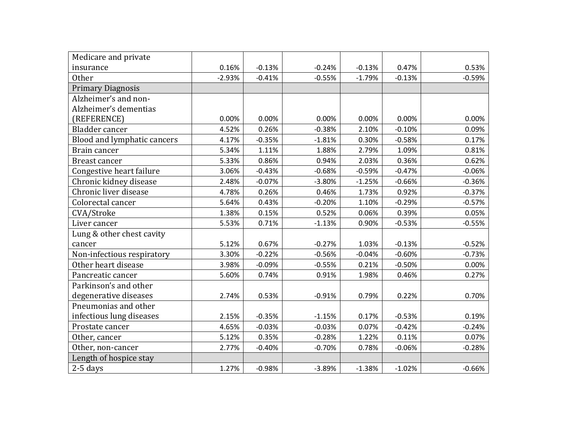| Medicare and private        |          |          |          |          |          |          |
|-----------------------------|----------|----------|----------|----------|----------|----------|
| insurance                   | 0.16%    | $-0.13%$ | $-0.24%$ | $-0.13%$ | 0.47%    | 0.53%    |
| <b>Other</b>                | $-2.93%$ | $-0.41%$ | $-0.55%$ | $-1.79%$ | $-0.13%$ | $-0.59%$ |
| <b>Primary Diagnosis</b>    |          |          |          |          |          |          |
| Alzheimer's and non-        |          |          |          |          |          |          |
| Alzheimer's dementias       |          |          |          |          |          |          |
| (REFERENCE)                 | 0.00%    | 0.00%    | 0.00%    | 0.00%    | 0.00%    | 0.00%    |
| Bladder cancer              | 4.52%    | 0.26%    | $-0.38%$ | 2.10%    | $-0.10%$ | 0.09%    |
| Blood and lymphatic cancers | 4.17%    | $-0.35%$ | $-1.81%$ | 0.30%    | $-0.58%$ | 0.17%    |
| Brain cancer                | 5.34%    | 1.11%    | 1.88%    | 2.79%    | 1.09%    | 0.81%    |
| Breast cancer               | 5.33%    | 0.86%    | 0.94%    | 2.03%    | 0.36%    | 0.62%    |
| Congestive heart failure    | 3.06%    | $-0.43%$ | $-0.68%$ | $-0.59%$ | $-0.47%$ | $-0.06%$ |
| Chronic kidney disease      | 2.48%    | $-0.07%$ | $-3.80%$ | $-1.25%$ | $-0.66%$ | $-0.36%$ |
| Chronic liver disease       | 4.78%    | 0.26%    | 0.46%    | 1.73%    | 0.92%    | $-0.37%$ |
| Colorectal cancer           | 5.64%    | 0.43%    | $-0.20%$ | 1.10%    | $-0.29%$ | $-0.57%$ |
| CVA/Stroke                  | 1.38%    | 0.15%    | 0.52%    | 0.06%    | 0.39%    | 0.05%    |
| Liver cancer                | 5.53%    | 0.71%    | $-1.13%$ | 0.90%    | $-0.53%$ | $-0.55%$ |
| Lung & other chest cavity   |          |          |          |          |          |          |
| cancer                      | 5.12%    | 0.67%    | $-0.27%$ | 1.03%    | $-0.13%$ | $-0.52%$ |
| Non-infectious respiratory  | 3.30%    | $-0.22%$ | $-0.56%$ | $-0.04%$ | $-0.60%$ | $-0.73%$ |
| Other heart disease         | 3.98%    | $-0.09%$ | $-0.55%$ | 0.21%    | $-0.50%$ | 0.00%    |
| Pancreatic cancer           | 5.60%    | 0.74%    | 0.91%    | 1.98%    | 0.46%    | 0.27%    |
| Parkinson's and other       |          |          |          |          |          |          |
| degenerative diseases       | 2.74%    | 0.53%    | $-0.91%$ | 0.79%    | 0.22%    | 0.70%    |
| Pneumonias and other        |          |          |          |          |          |          |
| infectious lung diseases    | 2.15%    | $-0.35%$ | $-1.15%$ | 0.17%    | $-0.53%$ | 0.19%    |
| Prostate cancer             | 4.65%    | $-0.03%$ | $-0.03%$ | 0.07%    | $-0.42%$ | $-0.24%$ |
| Other, cancer               | 5.12%    | 0.35%    | $-0.28%$ | 1.22%    | 0.11%    | 0.07%    |
| Other, non-cancer           | 2.77%    | $-0.40%$ | $-0.70%$ | 0.78%    | $-0.06%$ | $-0.28%$ |
| Length of hospice stay      |          |          |          |          |          |          |
| $2-5$ days                  | 1.27%    | $-0.98%$ | $-3.89%$ | $-1.38%$ | $-1.02%$ | $-0.66%$ |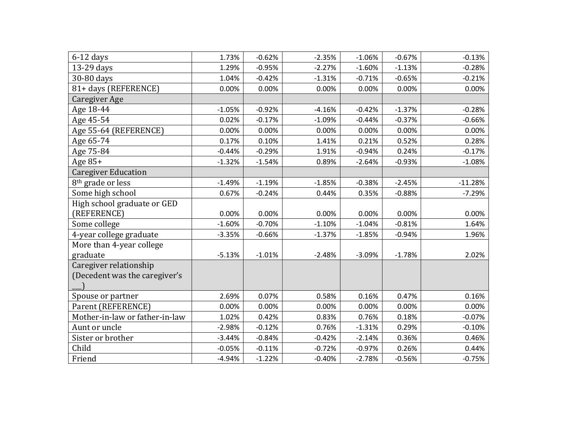| $6-12$ days                    | 1.73%    | $-0.62%$ | $-2.35%$ | $-1.06%$ | $-0.67%$ | $-0.13%$  |
|--------------------------------|----------|----------|----------|----------|----------|-----------|
| 13-29 days                     | 1.29%    | $-0.95%$ | $-2.27%$ | $-1.60%$ | $-1.13%$ | $-0.28%$  |
| 30-80 days                     | 1.04%    | $-0.42%$ | $-1.31%$ | $-0.71%$ | $-0.65%$ | $-0.21%$  |
| 81+ days (REFERENCE)           | 0.00%    | 0.00%    | 0.00%    | 0.00%    | 0.00%    | 0.00%     |
| Caregiver Age                  |          |          |          |          |          |           |
| Age 18-44                      | $-1.05%$ | $-0.92%$ | $-4.16%$ | $-0.42%$ | $-1.37%$ | $-0.28%$  |
| Age 45-54                      | 0.02%    | $-0.17%$ | $-1.09%$ | $-0.44%$ | $-0.37%$ | $-0.66%$  |
| Age 55-64 (REFERENCE)          | 0.00%    | 0.00%    | 0.00%    | 0.00%    | 0.00%    | 0.00%     |
| Age 65-74                      | 0.17%    | 0.10%    | 1.41%    | 0.21%    | 0.52%    | 0.28%     |
| Age 75-84                      | $-0.44%$ | $-0.29%$ | 1.91%    | $-0.94%$ | 0.24%    | $-0.17%$  |
| Age 85+                        | $-1.32%$ | $-1.54%$ | 0.89%    | $-2.64%$ | $-0.93%$ | $-1.08%$  |
| <b>Caregiver Education</b>     |          |          |          |          |          |           |
| 8 <sup>th</sup> grade or less  | $-1.49%$ | $-1.19%$ | $-1.85%$ | $-0.38%$ | $-2.45%$ | $-11.28%$ |
| Some high school               | 0.67%    | $-0.24%$ | 0.44%    | 0.35%    | $-0.88%$ | $-7.29%$  |
| High school graduate or GED    |          |          |          |          |          |           |
| (REFERENCE)                    | 0.00%    | 0.00%    | 0.00%    | 0.00%    | 0.00%    | 0.00%     |
| Some college                   | $-1.60%$ | $-0.70%$ | $-1.10%$ | $-1.04%$ | $-0.81%$ | 1.64%     |
| 4-year college graduate        | $-3.35%$ | $-0.66%$ | $-1.37%$ | $-1.85%$ | $-0.94%$ | 1.96%     |
| More than 4-year college       |          |          |          |          |          |           |
| graduate                       | $-5.13%$ | $-1.01%$ | $-2.48%$ | $-3.09%$ | $-1.78%$ | 2.02%     |
| Caregiver relationship         |          |          |          |          |          |           |
| (Decedent was the caregiver's  |          |          |          |          |          |           |
|                                |          |          |          |          |          |           |
| Spouse or partner              | 2.69%    | 0.07%    | 0.58%    | 0.16%    | 0.47%    | 0.16%     |
| Parent (REFERENCE)             | 0.00%    | 0.00%    | 0.00%    | 0.00%    | 0.00%    | 0.00%     |
| Mother-in-law or father-in-law | 1.02%    | 0.42%    | 0.83%    | 0.76%    | 0.18%    | $-0.07%$  |
| Aunt or uncle                  | $-2.98%$ | $-0.12%$ | 0.76%    | $-1.31%$ | 0.29%    | $-0.10%$  |
| Sister or brother              | $-3.44%$ | $-0.84%$ | $-0.42%$ | $-2.14%$ | 0.36%    | 0.46%     |
| Child                          | $-0.05%$ | $-0.11%$ | $-0.72%$ | $-0.97%$ | 0.26%    | 0.44%     |
| Friend                         | $-4.94%$ | $-1.22%$ | $-0.40%$ | $-2.78%$ | $-0.56%$ | $-0.75%$  |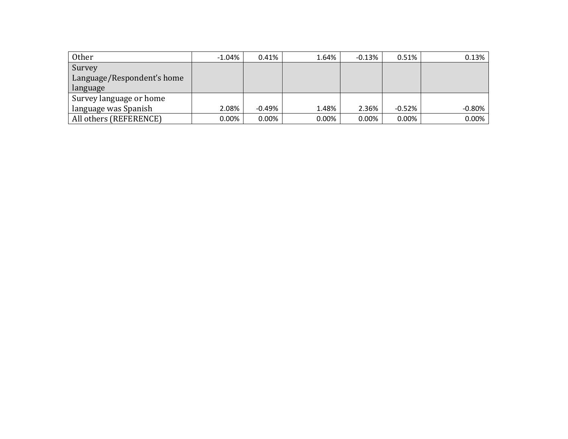| <b>Other</b>               | $-1.04%$ | 0.41%     | 1.64% | $-0.13%$ | 0.51%    | 0.13%    |
|----------------------------|----------|-----------|-------|----------|----------|----------|
| Survey                     |          |           |       |          |          |          |
| Language/Respondent's home |          |           |       |          |          |          |
| language                   |          |           |       |          |          |          |
| Survey language or home    |          |           |       |          |          |          |
| language was Spanish       | 2.08%    | $-0.49\%$ | 1.48% | 2.36%    | $-0.52%$ | $-0.80%$ |
| All others (REFERENCE)     | $0.00\%$ | $0.00\%$  | 0.00% | 0.00%    | 0.00%    | 0.00%    |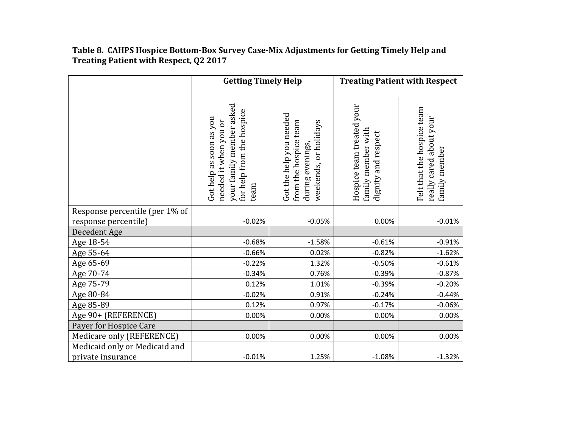# **Table 8. CAHPS Hospice Bottom-Box Survey Case-Mix Adjustments for Getting Timely Help and Treating Patient with Respect, Q2 2017**

|                                | <b>Getting Timely Help</b>                                                                                        |                                                                                              | <b>Treating Patient with Respect</b>                                      |                                                                        |  |
|--------------------------------|-------------------------------------------------------------------------------------------------------------------|----------------------------------------------------------------------------------------------|---------------------------------------------------------------------------|------------------------------------------------------------------------|--|
|                                | your family member asked<br>for help from the hospice<br>Got help as soon as you<br>needed it when you or<br>team | Got the help you needed<br>from the hospice team<br>weekends, or holidays<br>during evenings | Hospice team treated your<br>family member with<br>respect<br>dignity and | Felt that the hospice team<br>really cared about your<br>family member |  |
| Response percentile (per 1% of |                                                                                                                   |                                                                                              |                                                                           |                                                                        |  |
| response percentile)           | $-0.02%$                                                                                                          | $-0.05%$                                                                                     | 0.00%                                                                     | $-0.01%$                                                               |  |
| Decedent Age                   |                                                                                                                   |                                                                                              |                                                                           |                                                                        |  |
| Age 18-54                      | $-0.68%$                                                                                                          | $-1.58%$                                                                                     | $-0.61%$                                                                  | $-0.91%$                                                               |  |
| Age 55-64                      | $-0.66%$                                                                                                          | 0.02%                                                                                        | $-0.82%$                                                                  | $-1.62%$                                                               |  |
| Age 65-69                      | $-0.22%$                                                                                                          | 1.32%                                                                                        | $-0.50%$                                                                  | $-0.61%$                                                               |  |
| Age 70-74                      | $-0.34%$                                                                                                          | 0.76%                                                                                        | $-0.39%$                                                                  | $-0.87%$                                                               |  |
| Age 75-79                      | 0.12%                                                                                                             | 1.01%                                                                                        | $-0.39%$                                                                  | $-0.20%$                                                               |  |
| Age 80-84                      | $-0.02%$                                                                                                          | 0.91%                                                                                        | $-0.24%$                                                                  | $-0.44%$                                                               |  |
| Age 85-89                      | 0.12%                                                                                                             | 0.97%                                                                                        | $-0.17%$                                                                  | $-0.06%$                                                               |  |
| Age 90+ (REFERENCE)            | 0.00%                                                                                                             | 0.00%                                                                                        | 0.00%                                                                     | 0.00%                                                                  |  |
| Payer for Hospice Care         |                                                                                                                   |                                                                                              |                                                                           |                                                                        |  |
| Medicare only (REFERENCE)      | 0.00%                                                                                                             | 0.00%                                                                                        | 0.00%                                                                     | 0.00%                                                                  |  |
| Medicaid only or Medicaid and  |                                                                                                                   |                                                                                              |                                                                           |                                                                        |  |
| private insurance              | $-0.01%$                                                                                                          | 1.25%                                                                                        | $-1.08%$                                                                  | $-1.32%$                                                               |  |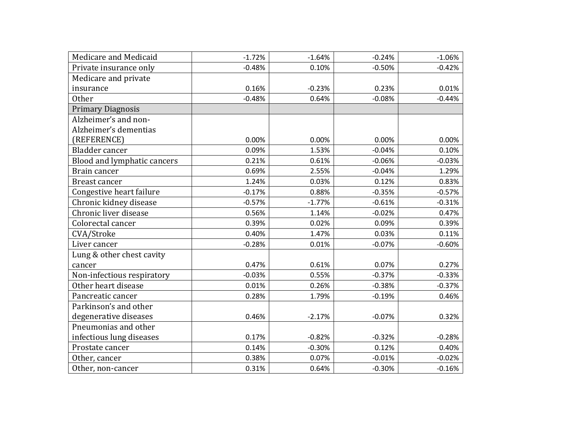| Medicare and Medicaid       | $-1.72%$ | $-1.64%$ | $-0.24%$ | $-1.06%$ |
|-----------------------------|----------|----------|----------|----------|
| Private insurance only      | $-0.48%$ | 0.10%    | $-0.50%$ | $-0.42%$ |
| Medicare and private        |          |          |          |          |
| insurance                   | 0.16%    | $-0.23%$ | 0.23%    | 0.01%    |
| <b>Other</b>                | $-0.48%$ | 0.64%    | $-0.08%$ | $-0.44%$ |
| <b>Primary Diagnosis</b>    |          |          |          |          |
| Alzheimer's and non-        |          |          |          |          |
| Alzheimer's dementias       |          |          |          |          |
| (REFERENCE)                 | 0.00%    | 0.00%    | 0.00%    | 0.00%    |
| Bladder cancer              | 0.09%    | 1.53%    | $-0.04%$ | 0.10%    |
| Blood and lymphatic cancers | 0.21%    | 0.61%    | $-0.06%$ | $-0.03%$ |
| Brain cancer                | 0.69%    | 2.55%    | $-0.04%$ | 1.29%    |
| Breast cancer               | 1.24%    | 0.03%    | 0.12%    | 0.83%    |
| Congestive heart failure    | $-0.17%$ | 0.88%    | $-0.35%$ | $-0.57%$ |
| Chronic kidney disease      | $-0.57%$ | $-1.77%$ | $-0.61%$ | $-0.31%$ |
| Chronic liver disease       | 0.56%    | 1.14%    | $-0.02%$ | 0.47%    |
| Colorectal cancer           | 0.39%    | 0.02%    | 0.09%    | 0.39%    |
| CVA/Stroke                  | 0.40%    | 1.47%    | 0.03%    | 0.11%    |
| Liver cancer                | $-0.28%$ | 0.01%    | $-0.07%$ | $-0.60%$ |
| Lung & other chest cavity   |          |          |          |          |
| cancer                      | 0.47%    | 0.61%    | 0.07%    | 0.27%    |
| Non-infectious respiratory  | $-0.03%$ | 0.55%    | $-0.37%$ | $-0.33%$ |
| Other heart disease         | 0.01%    | 0.26%    | $-0.38%$ | $-0.37%$ |
| Pancreatic cancer           | 0.28%    | 1.79%    | $-0.19%$ | 0.46%    |
| Parkinson's and other       |          |          |          |          |
| degenerative diseases       | 0.46%    | $-2.17%$ | $-0.07%$ | 0.32%    |
| Pneumonias and other        |          |          |          |          |
| infectious lung diseases    | 0.17%    | $-0.82%$ | $-0.32%$ | $-0.28%$ |
| Prostate cancer             | 0.14%    | $-0.30%$ | 0.12%    | 0.40%    |
| Other, cancer               | 0.38%    | 0.07%    | $-0.01%$ | $-0.02%$ |
| Other, non-cancer           | 0.31%    | 0.64%    | $-0.30%$ | $-0.16%$ |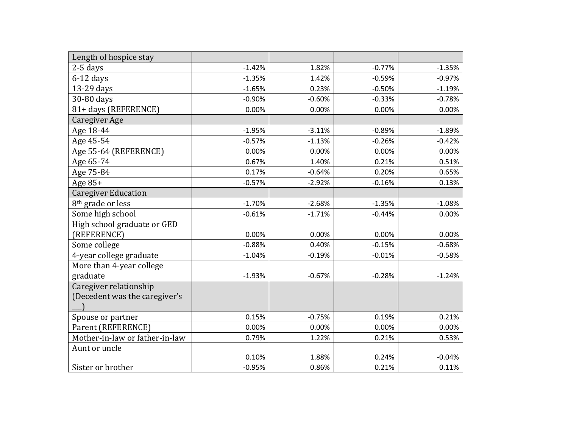| Length of hospice stay         |          |          |          |          |
|--------------------------------|----------|----------|----------|----------|
| $2-5$ days                     | $-1.42%$ | 1.82%    | $-0.77%$ | $-1.35%$ |
| $6-12$ days                    | $-1.35%$ | 1.42%    | $-0.59%$ | $-0.97%$ |
| 13-29 days                     | $-1.65%$ | 0.23%    | $-0.50%$ | $-1.19%$ |
| 30-80 days                     | $-0.90%$ | $-0.60%$ | $-0.33%$ | $-0.78%$ |
| 81+ days (REFERENCE)           | 0.00%    | 0.00%    | 0.00%    | 0.00%    |
| Caregiver Age                  |          |          |          |          |
| Age 18-44                      | $-1.95%$ | $-3.11%$ | $-0.89%$ | $-1.89%$ |
| Age 45-54                      | $-0.57%$ | $-1.13%$ | $-0.26%$ | $-0.42%$ |
| Age 55-64 (REFERENCE)          | 0.00%    | 0.00%    | 0.00%    | 0.00%    |
| Age 65-74                      | 0.67%    | 1.40%    | 0.21%    | 0.51%    |
| Age 75-84                      | 0.17%    | $-0.64%$ | 0.20%    | 0.65%    |
| Age 85+                        | $-0.57%$ | $-2.92%$ | $-0.16%$ | 0.13%    |
| <b>Caregiver Education</b>     |          |          |          |          |
| 8 <sup>th</sup> grade or less  | $-1.70%$ | $-2.68%$ | $-1.35%$ | $-1.08%$ |
| Some high school               | $-0.61%$ | $-1.71%$ | $-0.44%$ | 0.00%    |
| High school graduate or GED    |          |          |          |          |
| (REFERENCE)                    | 0.00%    | 0.00%    | 0.00%    | 0.00%    |
| Some college                   | $-0.88%$ | 0.40%    | $-0.15%$ | $-0.68%$ |
| 4-year college graduate        | $-1.04%$ | $-0.19%$ | $-0.01%$ | $-0.58%$ |
| More than 4-year college       |          |          |          |          |
| graduate                       | $-1.93%$ | $-0.67%$ | $-0.28%$ | $-1.24%$ |
| Caregiver relationship         |          |          |          |          |
| (Decedent was the caregiver's  |          |          |          |          |
|                                |          |          |          |          |
| Spouse or partner              | 0.15%    | $-0.75%$ | 0.19%    | 0.21%    |
| Parent (REFERENCE)             | 0.00%    | 0.00%    | 0.00%    | 0.00%    |
| Mother-in-law or father-in-law | 0.79%    | 1.22%    | 0.21%    | 0.53%    |
| Aunt or uncle                  |          |          |          |          |
|                                | 0.10%    | 1.88%    | 0.24%    | $-0.04%$ |
| Sister or brother              | $-0.95%$ | 0.86%    | 0.21%    | 0.11%    |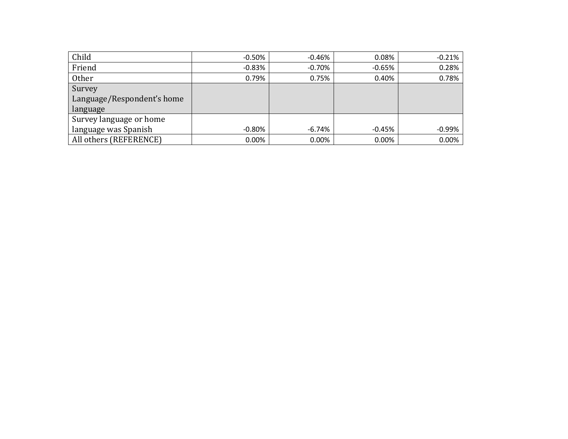| Child                      | $-0.50\%$ | $-0.46%$ | 0.08%    | $-0.21%$ |
|----------------------------|-----------|----------|----------|----------|
| Friend                     | $-0.83\%$ | $-0.70%$ | $-0.65%$ | 0.28%    |
| Other                      | 0.79%     | 0.75%    | 0.40%    | 0.78%    |
| Survey                     |           |          |          |          |
| Language/Respondent's home |           |          |          |          |
| language                   |           |          |          |          |
| Survey language or home    |           |          |          |          |
| language was Spanish       | -0.80%    | -6.74%   | $-0.45%$ | $-0.99%$ |
| All others (REFERENCE)     | $0.00\%$  | 0.00%    | 0.00%    | 0.00%    |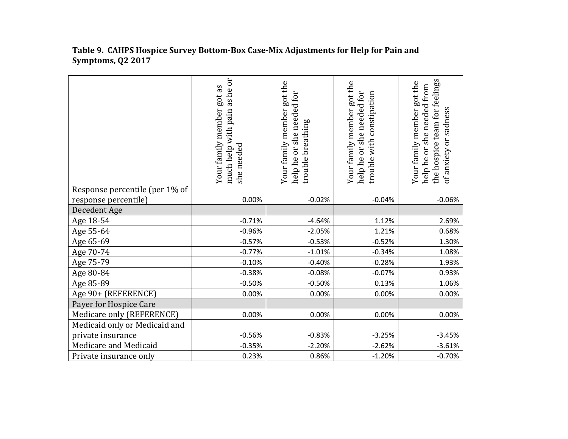|                                | as he or<br>Your family member got as<br>much help with pain<br>she needed | Your family member got the<br>needed for<br>trouble breathing<br>she<br>ðr<br>help he | Your family member got the<br>help he or she needed for<br>rouble with constipation | the hospice team for feelings<br>Your family member got the<br>help he or she needed from<br>of anxiety or sadness |
|--------------------------------|----------------------------------------------------------------------------|---------------------------------------------------------------------------------------|-------------------------------------------------------------------------------------|--------------------------------------------------------------------------------------------------------------------|
| Response percentile (per 1% of |                                                                            |                                                                                       |                                                                                     |                                                                                                                    |
| response percentile)           | 0.00%                                                                      | $-0.02%$                                                                              | $-0.04%$                                                                            | $-0.06%$                                                                                                           |
| Decedent Age                   |                                                                            |                                                                                       |                                                                                     |                                                                                                                    |
| Age 18-54                      | $-0.71%$                                                                   | $-4.64%$                                                                              | 1.12%                                                                               | 2.69%                                                                                                              |
| Age 55-64                      | $-0.96%$                                                                   | $-2.05%$                                                                              | 1.21%                                                                               | 0.68%                                                                                                              |
| Age 65-69                      | $-0.57%$                                                                   | $-0.53%$                                                                              | $-0.52%$                                                                            | 1.30%                                                                                                              |
| Age 70-74                      | $-0.77%$                                                                   | $-1.01%$                                                                              | $-0.34%$                                                                            | 1.08%                                                                                                              |
| Age 75-79                      | $-0.10%$                                                                   | $-0.40%$                                                                              | $-0.28%$                                                                            | 1.93%                                                                                                              |
| Age 80-84                      | $-0.38%$                                                                   | $-0.08%$                                                                              | $-0.07%$                                                                            | 0.93%                                                                                                              |
| Age 85-89                      | $-0.50%$                                                                   | $-0.50%$                                                                              | 0.13%                                                                               | 1.06%                                                                                                              |
| Age 90+ (REFERENCE)            | 0.00%                                                                      | 0.00%                                                                                 | 0.00%                                                                               | 0.00%                                                                                                              |
| Payer for Hospice Care         |                                                                            |                                                                                       |                                                                                     |                                                                                                                    |
| Medicare only (REFERENCE)      | 0.00%                                                                      | 0.00%                                                                                 | 0.00%                                                                               | 0.00%                                                                                                              |
| Medicaid only or Medicaid and  |                                                                            |                                                                                       |                                                                                     |                                                                                                                    |
| private insurance              | $-0.56%$                                                                   | $-0.83%$                                                                              | $-3.25%$                                                                            | $-3.45%$                                                                                                           |
| Medicare and Medicaid          | $-0.35%$                                                                   | $-2.20%$                                                                              | $-2.62%$                                                                            | $-3.61%$                                                                                                           |
| Private insurance only         | 0.23%                                                                      | 0.86%                                                                                 | $-1.20%$                                                                            | $-0.70%$                                                                                                           |

### **Table 9. CAHPS Hospice Survey Bottom-Box Case-Mix Adjustments for Help for Pain and Symptoms, Q2 2017**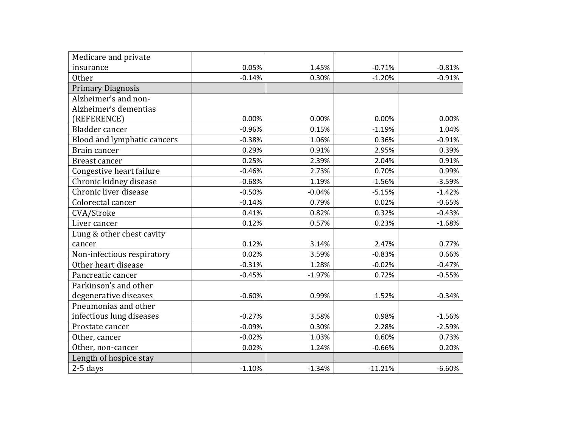| Medicare and private        |          |          |           |          |
|-----------------------------|----------|----------|-----------|----------|
| insurance                   | 0.05%    | 1.45%    | $-0.71%$  | $-0.81%$ |
| <b>Other</b>                | $-0.14%$ | 0.30%    | $-1.20%$  | $-0.91%$ |
| <b>Primary Diagnosis</b>    |          |          |           |          |
| Alzheimer's and non-        |          |          |           |          |
| Alzheimer's dementias       |          |          |           |          |
| (REFERENCE)                 | 0.00%    | 0.00%    | 0.00%     | 0.00%    |
| <b>Bladder</b> cancer       | $-0.96%$ | 0.15%    | $-1.19%$  | 1.04%    |
| Blood and lymphatic cancers | $-0.38%$ | 1.06%    | 0.36%     | $-0.91%$ |
| Brain cancer                | 0.29%    | 0.91%    | 2.95%     | 0.39%    |
| Breast cancer               | 0.25%    | 2.39%    | 2.04%     | 0.91%    |
| Congestive heart failure    | $-0.46%$ | 2.73%    | 0.70%     | 0.99%    |
| Chronic kidney disease      | $-0.68%$ | 1.19%    | $-1.56%$  | $-3.59%$ |
| Chronic liver disease       | $-0.50%$ | $-0.04%$ | $-5.15%$  | $-1.42%$ |
| Colorectal cancer           | $-0.14%$ | 0.79%    | 0.02%     | $-0.65%$ |
| CVA/Stroke                  | 0.41%    | 0.82%    | 0.32%     | $-0.43%$ |
| Liver cancer                | 0.12%    | 0.57%    | 0.23%     | $-1.68%$ |
| Lung & other chest cavity   |          |          |           |          |
| cancer                      | 0.12%    | 3.14%    | 2.47%     | 0.77%    |
| Non-infectious respiratory  | 0.02%    | 3.59%    | $-0.83%$  | 0.66%    |
| Other heart disease         | $-0.31%$ | 1.28%    | $-0.02%$  | $-0.47%$ |
| Pancreatic cancer           | $-0.45%$ | $-1.97%$ | 0.72%     | $-0.55%$ |
| Parkinson's and other       |          |          |           |          |
| degenerative diseases       | $-0.60%$ | 0.99%    | 1.52%     | $-0.34%$ |
| Pneumonias and other        |          |          |           |          |
| infectious lung diseases    | $-0.27%$ | 3.58%    | 0.98%     | $-1.56%$ |
| Prostate cancer             | $-0.09%$ | 0.30%    | 2.28%     | $-2.59%$ |
| Other, cancer               | $-0.02%$ | 1.03%    | 0.60%     | 0.73%    |
| Other, non-cancer           | 0.02%    | 1.24%    | $-0.66%$  | 0.20%    |
| Length of hospice stay      |          |          |           |          |
| $2-5$ days                  | $-1.10%$ | $-1.34%$ | $-11.21%$ | $-6.60%$ |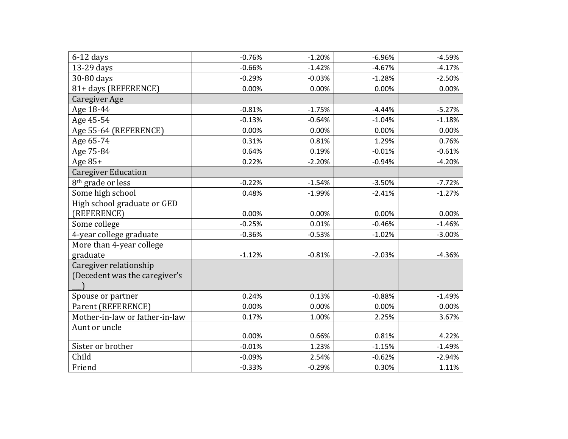| $6-12$ days                    | $-0.76%$ | $-1.20%$ | $-6.96%$ | $-4.59%$ |
|--------------------------------|----------|----------|----------|----------|
| 13-29 days                     | $-0.66%$ | $-1.42%$ | $-4.67%$ | $-4.17%$ |
| 30-80 days                     | $-0.29%$ | $-0.03%$ | $-1.28%$ | $-2.50%$ |
| 81+ days (REFERENCE)           | 0.00%    | 0.00%    | 0.00%    | 0.00%    |
| <b>Caregiver Age</b>           |          |          |          |          |
|                                |          |          |          |          |
| Age 18-44                      | $-0.81%$ | $-1.75%$ | $-4.44%$ | $-5.27%$ |
| Age 45-54                      | $-0.13%$ | $-0.64%$ | $-1.04%$ | $-1.18%$ |
| Age 55-64 (REFERENCE)          | 0.00%    | 0.00%    | 0.00%    | 0.00%    |
| Age 65-74                      | 0.31%    | 0.81%    | 1.29%    | 0.76%    |
| Age 75-84                      | 0.64%    | 0.19%    | $-0.01%$ | $-0.61%$ |
| Age 85+                        | 0.22%    | $-2.20%$ | $-0.94%$ | $-4.20%$ |
| <b>Caregiver Education</b>     |          |          |          |          |
| 8 <sup>th</sup> grade or less  | $-0.22%$ | $-1.54%$ | $-3.50%$ | $-7.72%$ |
| Some high school               | 0.48%    | $-1.99%$ | $-2.41%$ | $-1.27%$ |
| High school graduate or GED    |          |          |          |          |
| (REFERENCE)                    | 0.00%    | 0.00%    | 0.00%    | 0.00%    |
| Some college                   | $-0.25%$ | 0.01%    | $-0.46%$ | $-1.46%$ |
| 4-year college graduate        | $-0.36%$ | $-0.53%$ | $-1.02%$ | $-3.00%$ |
| More than 4-year college       |          |          |          |          |
| graduate                       | $-1.12%$ | $-0.81%$ | $-2.03%$ | $-4.36%$ |
| Caregiver relationship         |          |          |          |          |
| (Decedent was the caregiver's  |          |          |          |          |
|                                |          |          |          |          |
| Spouse or partner              | 0.24%    | 0.13%    | $-0.88%$ | $-1.49%$ |
| Parent (REFERENCE)             | 0.00%    | 0.00%    | 0.00%    | 0.00%    |
| Mother-in-law or father-in-law | 0.17%    | 1.00%    | 2.25%    | 3.67%    |
| Aunt or uncle                  |          |          |          |          |
|                                | 0.00%    | 0.66%    | 0.81%    | 4.22%    |
| Sister or brother              | $-0.01%$ | 1.23%    | $-1.15%$ | $-1.49%$ |
| Child                          | $-0.09%$ | 2.54%    | $-0.62%$ | $-2.94%$ |
| Friend                         | $-0.33%$ | $-0.29%$ | 0.30%    | 1.11%    |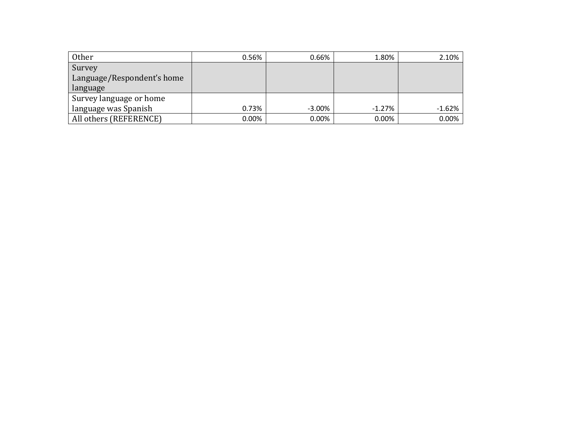| Other                      | 0.56% | 0.66%     | 1.80%    | 2.10%    |
|----------------------------|-------|-----------|----------|----------|
| Survey                     |       |           |          |          |
| Language/Respondent's home |       |           |          |          |
| language                   |       |           |          |          |
| Survey language or home    |       |           |          |          |
| language was Spanish       | 0.73% | $-3.00\%$ | $-1.27%$ | $-1.62%$ |
| All others (REFERENCE)     | 0.00% | $0.00\%$  | 0.00%    | $0.00\%$ |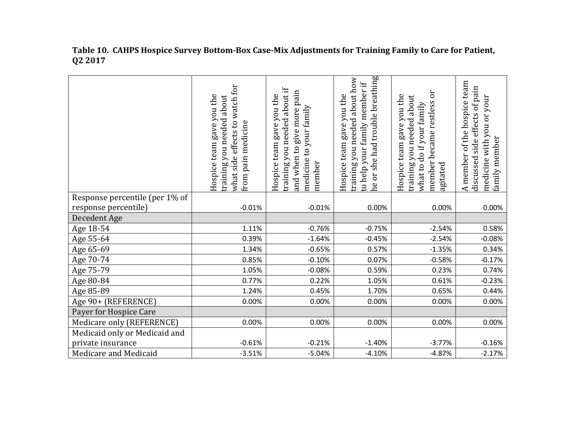|                                | effects to watch for<br>Hospice team gave you the<br>training you needed about<br>from pain medicine<br>what side | training you needed about if<br>pain<br>Hospice team gave you the<br>medicine to your family<br>give more<br>and when to<br>member | he or she had trouble breathing<br>training you needed about how<br>to help your family member if<br>gave you the<br>Hospice team | ör<br>Hospice team gave you the<br>training you needed about<br>member became restless<br>what to do if your family<br>agitated | A member of the hospice team<br>discussed side effects of pain<br>medicine with you or your<br>family member |
|--------------------------------|-------------------------------------------------------------------------------------------------------------------|------------------------------------------------------------------------------------------------------------------------------------|-----------------------------------------------------------------------------------------------------------------------------------|---------------------------------------------------------------------------------------------------------------------------------|--------------------------------------------------------------------------------------------------------------|
| Response percentile (per 1% of |                                                                                                                   |                                                                                                                                    |                                                                                                                                   |                                                                                                                                 |                                                                                                              |
| response percentile)           | $-0.01%$                                                                                                          | $-0.01%$                                                                                                                           | 0.00%                                                                                                                             | 0.00%                                                                                                                           | 0.00%                                                                                                        |
| Decedent Age                   |                                                                                                                   |                                                                                                                                    |                                                                                                                                   |                                                                                                                                 |                                                                                                              |
| Age 18-54                      | 1.11%                                                                                                             | $-0.76%$                                                                                                                           | $-0.75%$                                                                                                                          | $-2.54%$                                                                                                                        | 0.58%                                                                                                        |
| Age 55-64                      | 0.39%                                                                                                             | $-1.64%$                                                                                                                           | $-0.45%$                                                                                                                          | $-2.54%$                                                                                                                        | $-0.08%$                                                                                                     |
| Age 65-69                      | 1.34%                                                                                                             | $-0.65%$                                                                                                                           | 0.57%                                                                                                                             | $-1.35%$                                                                                                                        | 0.34%                                                                                                        |
| Age 70-74                      | 0.85%                                                                                                             | $-0.10%$                                                                                                                           | 0.07%                                                                                                                             | $-0.58%$                                                                                                                        | $-0.17%$                                                                                                     |
| Age 75-79                      | 1.05%                                                                                                             | $-0.08%$                                                                                                                           | 0.59%                                                                                                                             | 0.23%                                                                                                                           | 0.74%                                                                                                        |
| Age 80-84                      | 0.77%                                                                                                             | 0.22%                                                                                                                              | 1.05%                                                                                                                             | 0.61%                                                                                                                           | $-0.23%$                                                                                                     |
| Age 85-89                      | 1.24%                                                                                                             | 0.45%                                                                                                                              | 1.70%                                                                                                                             | 0.65%                                                                                                                           | 0.44%                                                                                                        |
| Age 90+ (REFERENCE)            | 0.00%                                                                                                             | 0.00%                                                                                                                              | 0.00%                                                                                                                             | 0.00%                                                                                                                           | 0.00%                                                                                                        |
| Payer for Hospice Care         |                                                                                                                   |                                                                                                                                    |                                                                                                                                   |                                                                                                                                 |                                                                                                              |
| Medicare only (REFERENCE)      | 0.00%                                                                                                             | 0.00%                                                                                                                              | 0.00%                                                                                                                             | 0.00%                                                                                                                           | 0.00%                                                                                                        |
| Medicaid only or Medicaid and  |                                                                                                                   |                                                                                                                                    |                                                                                                                                   |                                                                                                                                 |                                                                                                              |
| private insurance              | $-0.61%$                                                                                                          | $-0.21%$                                                                                                                           | $-1.40%$                                                                                                                          | $-3.77%$                                                                                                                        | $-0.16%$                                                                                                     |
| Medicare and Medicaid          | $-3.51%$                                                                                                          | $-5.04%$                                                                                                                           | $-4.10%$                                                                                                                          | $-4.87%$                                                                                                                        | $-2.17%$                                                                                                     |

**Table 10. CAHPS Hospice Survey Bottom-Box Case-Mix Adjustments for Training Family to Care for Patient, Q2 2017**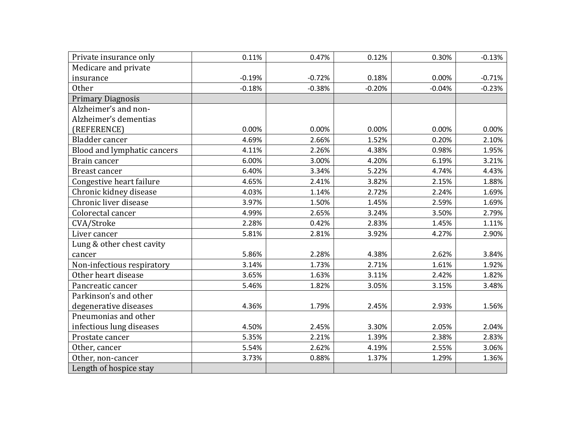| Private insurance only      | 0.11%    | 0.47%    | 0.12%    | 0.30%    | $-0.13%$ |
|-----------------------------|----------|----------|----------|----------|----------|
| Medicare and private        |          |          |          |          |          |
| insurance                   | $-0.19%$ | $-0.72%$ | 0.18%    | 0.00%    | $-0.71%$ |
| <b>Other</b>                | $-0.18%$ | $-0.38%$ | $-0.20%$ | $-0.04%$ | $-0.23%$ |
| <b>Primary Diagnosis</b>    |          |          |          |          |          |
| Alzheimer's and non-        |          |          |          |          |          |
| Alzheimer's dementias       |          |          |          |          |          |
| (REFERENCE)                 | 0.00%    | 0.00%    | 0.00%    | 0.00%    | 0.00%    |
| Bladder cancer              | 4.69%    | 2.66%    | 1.52%    | 0.20%    | 2.10%    |
| Blood and lymphatic cancers | 4.11%    | 2.26%    | 4.38%    | 0.98%    | 1.95%    |
| Brain cancer                | 6.00%    | 3.00%    | 4.20%    | 6.19%    | 3.21%    |
| <b>Breast cancer</b>        | 6.40%    | 3.34%    | 5.22%    | 4.74%    | 4.43%    |
| Congestive heart failure    | 4.65%    | 2.41%    | 3.82%    | 2.15%    | 1.88%    |
| Chronic kidney disease      | 4.03%    | 1.14%    | 2.72%    | 2.24%    | 1.69%    |
| Chronic liver disease       | 3.97%    | 1.50%    | 1.45%    | 2.59%    | 1.69%    |
| Colorectal cancer           | 4.99%    | 2.65%    | 3.24%    | 3.50%    | 2.79%    |
| CVA/Stroke                  | 2.28%    | 0.42%    | 2.83%    | 1.45%    | 1.11%    |
| Liver cancer                | 5.81%    | 2.81%    | 3.92%    | 4.27%    | 2.90%    |
| Lung & other chest cavity   |          |          |          |          |          |
| cancer                      | 5.86%    | 2.28%    | 4.38%    | 2.62%    | 3.84%    |
| Non-infectious respiratory  | 3.14%    | 1.73%    | 2.71%    | 1.61%    | 1.92%    |
| Other heart disease         | 3.65%    | 1.63%    | 3.11%    | 2.42%    | 1.82%    |
| Pancreatic cancer           | 5.46%    | 1.82%    | 3.05%    | 3.15%    | 3.48%    |
| Parkinson's and other       |          |          |          |          |          |
| degenerative diseases       | 4.36%    | 1.79%    | 2.45%    | 2.93%    | 1.56%    |
| Pneumonias and other        |          |          |          |          |          |
| infectious lung diseases    | 4.50%    | 2.45%    | 3.30%    | 2.05%    | 2.04%    |
| Prostate cancer             | 5.35%    | 2.21%    | 1.39%    | 2.38%    | 2.83%    |
| Other, cancer               | 5.54%    | 2.62%    | 4.19%    | 2.55%    | 3.06%    |
| Other, non-cancer           | 3.73%    | 0.88%    | 1.37%    | 1.29%    | 1.36%    |
| Length of hospice stay      |          |          |          |          |          |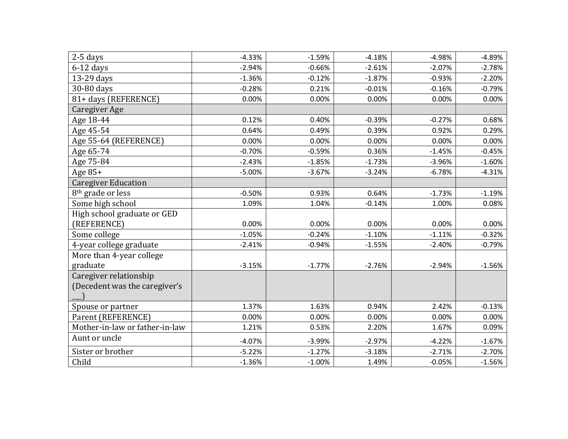| 2-5 days<br>$6-12$ days<br>13-29 days<br>30-80 days<br>81+ days (REFERENCE)<br>Caregiver Age | $-4.33%$<br>$-2.94%$<br>$-1.36%$<br>$-0.28%$<br>0.00% | $-1.59%$<br>$-0.66%$<br>$-0.12%$<br>0.21%<br>0.00% | $-4.18%$<br>$-2.61%$<br>$-1.87%$<br>$-0.01%$ | $-4.98%$<br>$-2.07%$<br>$-0.93%$ | $-4.89%$<br>$-2.78%$<br>$-2.20%$ |
|----------------------------------------------------------------------------------------------|-------------------------------------------------------|----------------------------------------------------|----------------------------------------------|----------------------------------|----------------------------------|
|                                                                                              |                                                       |                                                    |                                              |                                  |                                  |
|                                                                                              |                                                       |                                                    |                                              |                                  |                                  |
|                                                                                              |                                                       |                                                    |                                              |                                  |                                  |
|                                                                                              |                                                       |                                                    |                                              | $-0.16%$                         | $-0.79%$                         |
|                                                                                              |                                                       |                                                    | 0.00%                                        | 0.00%                            | 0.00%                            |
|                                                                                              |                                                       |                                                    |                                              |                                  |                                  |
| Age 18-44                                                                                    | 0.12%                                                 | 0.40%                                              | $-0.39%$                                     | $-0.27%$                         | 0.68%                            |
| Age 45-54                                                                                    | 0.64%                                                 | 0.49%                                              | 0.39%                                        | 0.92%                            | 0.29%                            |
| Age 55-64 (REFERENCE)                                                                        | 0.00%                                                 | 0.00%                                              | 0.00%                                        | 0.00%                            | 0.00%                            |
| Age 65-74                                                                                    | $-0.70%$                                              | $-0.59%$                                           | 0.36%                                        | $-1.45%$                         | $-0.45%$                         |
| Age 75-84                                                                                    | $-2.43%$                                              | $-1.85%$                                           | $-1.73%$                                     | $-3.96%$                         | $-1.60%$                         |
| Age $85+$                                                                                    | $-5.00%$                                              | $-3.67%$                                           | $-3.24%$                                     | $-6.78%$                         | $-4.31%$                         |
| <b>Caregiver Education</b>                                                                   |                                                       |                                                    |                                              |                                  |                                  |
| 8 <sup>th</sup> grade or less                                                                | $-0.50%$                                              | 0.93%                                              | 0.64%                                        | $-1.73%$                         | $-1.19%$                         |
| Some high school                                                                             | 1.09%                                                 | 1.04%                                              | $-0.14%$                                     | 1.00%                            | 0.08%                            |
| High school graduate or GED                                                                  |                                                       |                                                    |                                              |                                  |                                  |
| (REFERENCE)                                                                                  | 0.00%                                                 | 0.00%                                              | 0.00%                                        | 0.00%                            | 0.00%                            |
| Some college                                                                                 | $-1.05%$                                              | $-0.24%$                                           | $-1.10%$                                     | $-1.11%$                         | $-0.32%$                         |
| 4-year college graduate                                                                      | $-2.41%$                                              | $-0.94%$                                           | $-1.55%$                                     | $-2.40%$                         | $-0.79%$                         |
| More than 4-year college                                                                     |                                                       |                                                    |                                              |                                  |                                  |
| graduate                                                                                     | $-3.15%$                                              | $-1.77%$                                           | $-2.76%$                                     | $-2.94%$                         | $-1.56%$                         |
| Caregiver relationship                                                                       |                                                       |                                                    |                                              |                                  |                                  |
| (Decedent was the caregiver's                                                                |                                                       |                                                    |                                              |                                  |                                  |
|                                                                                              |                                                       |                                                    |                                              |                                  |                                  |
| Spouse or partner                                                                            | 1.37%                                                 | 1.63%                                              | 0.94%                                        | 2.42%                            | $-0.13%$                         |
| Parent (REFERENCE)                                                                           | 0.00%                                                 | 0.00%                                              | 0.00%                                        | 0.00%                            | 0.00%                            |
| Mother-in-law or father-in-law                                                               | 1.21%                                                 | 0.53%                                              | 2.20%                                        | 1.67%                            | 0.09%                            |
| Aunt or uncle                                                                                | $-4.07%$                                              | $-3.99%$                                           | $-2.97%$                                     | $-4.22%$                         | $-1.67%$                         |
| Sister or brother                                                                            | $-5.22%$                                              | $-1.27%$                                           | $-3.18%$                                     | $-2.71%$                         | $-2.70%$                         |
| Child                                                                                        | $-1.36%$                                              | $-1.00%$                                           | 1.49%                                        | $-0.05%$                         | $-1.56%$                         |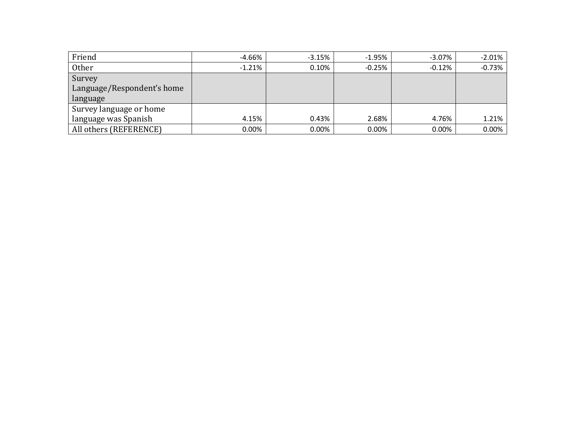| Friend                     | $-4.66%$ | $-3.15%$ | $-1.95%$ | $-3.07\%$ | $-2.01\%$ |
|----------------------------|----------|----------|----------|-----------|-----------|
| Other                      | $-1.21%$ | 0.10%    | $-0.25%$ | $-0.12\%$ | $-0.73%$  |
| Survey                     |          |          |          |           |           |
| Language/Respondent's home |          |          |          |           |           |
| language                   |          |          |          |           |           |
| Survey language or home    |          |          |          |           |           |
| language was Spanish       | 4.15%    | 0.43%    | 2.68%    | 4.76%     | $1.21\%$  |
| All others (REFERENCE)     | 0.00%    | 0.00%    | 0.00%    | $0.00\%$  | $0.00\%$  |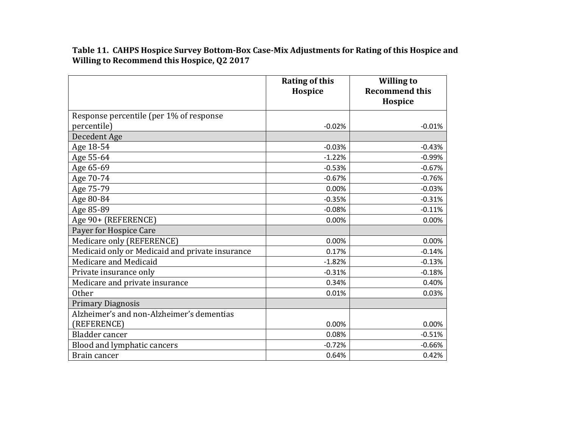**Table 11. CAHPS Hospice Survey Bottom-Box Case-Mix Adjustments for Rating of this Hospice and Willing to Recommend this Hospice, Q2 2017**

|                                                 | <b>Rating of this</b><br>Hospice | <b>Willing to</b><br><b>Recommend this</b><br>Hospice |
|-------------------------------------------------|----------------------------------|-------------------------------------------------------|
| Response percentile (per 1% of response         |                                  |                                                       |
| percentile)                                     | $-0.02%$                         | $-0.01%$                                              |
| Decedent Age                                    |                                  |                                                       |
| Age 18-54                                       | $-0.03%$                         | $-0.43%$                                              |
| Age 55-64                                       | $-1.22%$                         | $-0.99%$                                              |
| Age 65-69                                       | $-0.53%$                         | $-0.67%$                                              |
| Age 70-74                                       | $-0.67%$                         | $-0.76%$                                              |
| Age 75-79                                       | 0.00%                            | $-0.03%$                                              |
| Age 80-84                                       | $-0.35%$                         | $-0.31%$                                              |
| Age 85-89                                       | $-0.08%$                         | $-0.11%$                                              |
| Age 90+ (REFERENCE)                             | 0.00%                            | 0.00%                                                 |
| Payer for Hospice Care                          |                                  |                                                       |
| Medicare only (REFERENCE)                       | 0.00%                            | 0.00%                                                 |
| Medicaid only or Medicaid and private insurance | 0.17%                            | $-0.14%$                                              |
| Medicare and Medicaid                           | $-1.82%$                         | $-0.13%$                                              |
| Private insurance only                          | $-0.31%$                         | $-0.18%$                                              |
| Medicare and private insurance                  | 0.34%                            | 0.40%                                                 |
| Other                                           | 0.01%                            | 0.03%                                                 |
| <b>Primary Diagnosis</b>                        |                                  |                                                       |
| Alzheimer's and non-Alzheimer's dementias       |                                  |                                                       |
| (REFERENCE)                                     | 0.00%                            | 0.00%                                                 |
| Bladder cancer                                  | 0.08%                            | $-0.51%$                                              |
| Blood and lymphatic cancers                     | $-0.72%$                         | $-0.66%$                                              |
| Brain cancer                                    | 0.64%                            | 0.42%                                                 |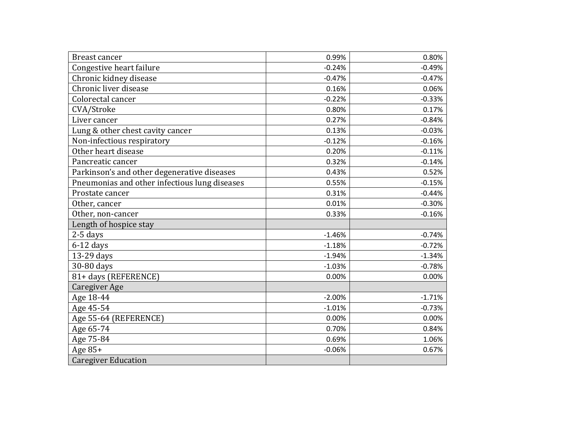| <b>Breast cancer</b>                          | 0.99%    | 0.80%    |
|-----------------------------------------------|----------|----------|
| Congestive heart failure                      | $-0.24%$ | $-0.49%$ |
| Chronic kidney disease                        | $-0.47%$ | $-0.47%$ |
| Chronic liver disease                         | 0.16%    | 0.06%    |
| Colorectal cancer                             | $-0.22%$ | $-0.33%$ |
| CVA/Stroke                                    | 0.80%    | 0.17%    |
| Liver cancer                                  | 0.27%    | $-0.84%$ |
| Lung & other chest cavity cancer              | 0.13%    | $-0.03%$ |
| Non-infectious respiratory                    | $-0.12%$ | $-0.16%$ |
| Other heart disease                           | 0.20%    | $-0.11%$ |
| Pancreatic cancer                             | 0.32%    | $-0.14%$ |
| Parkinson's and other degenerative diseases   | 0.43%    | 0.52%    |
| Pneumonias and other infectious lung diseases | 0.55%    | $-0.15%$ |
| Prostate cancer                               | 0.31%    | $-0.44%$ |
| Other, cancer                                 | 0.01%    | $-0.30%$ |
| Other, non-cancer                             | 0.33%    | $-0.16%$ |
| Length of hospice stay                        |          |          |
| 2-5 days                                      | $-1.46%$ | $-0.74%$ |
| $6-12$ days                                   | $-1.18%$ | $-0.72%$ |
| 13-29 days                                    | $-1.94%$ | $-1.34%$ |
| 30-80 days                                    | $-1.03%$ | $-0.78%$ |
| 81+ days (REFERENCE)                          | 0.00%    | 0.00%    |
| <b>Caregiver Age</b>                          |          |          |
| Age 18-44                                     | $-2.00%$ | $-1.71%$ |
| Age 45-54                                     | $-1.01%$ | $-0.73%$ |
| Age 55-64 (REFERENCE)                         | 0.00%    | 0.00%    |
| Age 65-74                                     | 0.70%    | 0.84%    |
| Age 75-84                                     | 0.69%    | 1.06%    |
| Age 85+                                       | $-0.06%$ | 0.67%    |
| <b>Caregiver Education</b>                    |          |          |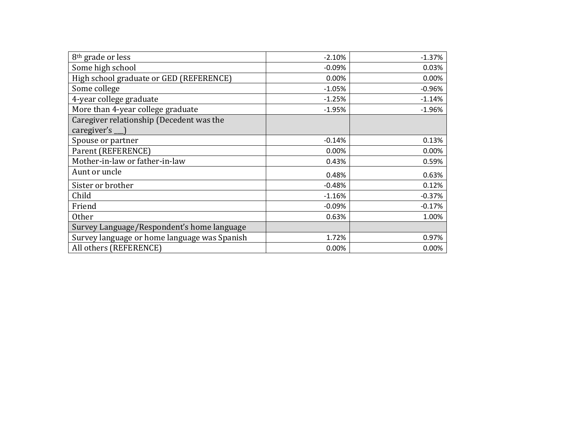| 8 <sup>th</sup> grade or less                                  | $-2.10%$ | $-1.37%$ |
|----------------------------------------------------------------|----------|----------|
| Some high school                                               | $-0.09%$ | 0.03%    |
| High school graduate or GED (REFERENCE)                        | 0.00%    | 0.00%    |
| Some college                                                   | $-1.05%$ | $-0.96%$ |
| 4-year college graduate                                        | $-1.25%$ | $-1.14%$ |
| More than 4-year college graduate                              | $-1.95%$ | $-1.96%$ |
| Caregiver relationship (Decedent was the<br>caregiver's $\Box$ |          |          |
| Spouse or partner                                              | $-0.14%$ | 0.13%    |
| Parent (REFERENCE)                                             | 0.00%    | 0.00%    |
| Mother-in-law or father-in-law                                 | 0.43%    | 0.59%    |
| Aunt or uncle                                                  | 0.48%    | 0.63%    |
| Sister or brother                                              | $-0.48%$ | 0.12%    |
| Child                                                          | $-1.16%$ | $-0.37%$ |
| Friend                                                         | $-0.09%$ | $-0.17%$ |
| <b>Other</b>                                                   | 0.63%    | 1.00%    |
| Survey Language/Respondent's home language                     |          |          |
| Survey language or home language was Spanish                   | 1.72%    | 0.97%    |
| All others (REFERENCE)                                         | 0.00%    | 0.00%    |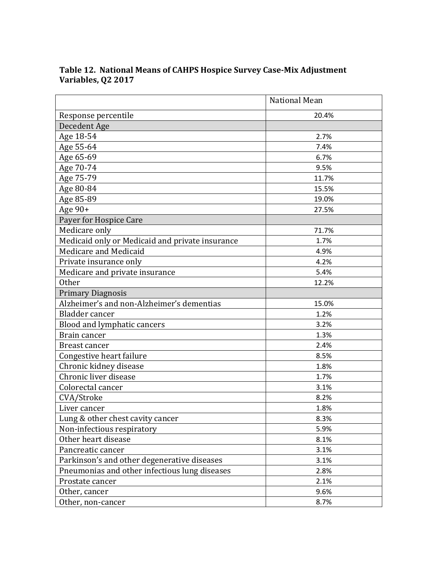|                                                 | <b>National Mean</b> |
|-------------------------------------------------|----------------------|
| Response percentile                             | 20.4%                |
| Decedent Age                                    |                      |
| Age 18-54                                       | 2.7%                 |
| Age 55-64                                       | 7.4%                 |
| Age 65-69                                       | 6.7%                 |
| Age 70-74                                       | 9.5%                 |
| Age 75-79                                       | 11.7%                |
| Age 80-84                                       | 15.5%                |
| Age 85-89                                       | 19.0%                |
| Age 90+                                         | 27.5%                |
| Payer for Hospice Care                          |                      |
| Medicare only                                   | 71.7%                |
| Medicaid only or Medicaid and private insurance | 1.7%                 |
| Medicare and Medicaid                           | 4.9%                 |
| Private insurance only                          | 4.2%                 |
| Medicare and private insurance                  | 5.4%                 |
| <b>Other</b>                                    | 12.2%                |
| <b>Primary Diagnosis</b>                        |                      |
| Alzheimer's and non-Alzheimer's dementias       | 15.0%                |
| <b>Bladder</b> cancer                           | 1.2%                 |
| Blood and lymphatic cancers                     | 3.2%                 |
| Brain cancer                                    | 1.3%                 |
| <b>Breast cancer</b>                            | 2.4%                 |
| Congestive heart failure                        | 8.5%                 |
| Chronic kidney disease                          | 1.8%                 |
| Chronic liver disease                           | 1.7%                 |
| Colorectal cancer                               | 3.1%                 |
| CVA/Stroke                                      | 8.2%                 |
| Liver cancer                                    | 1.8%                 |
| Lung & other chest cavity cancer                | 8.3%                 |
| Non-infectious respiratory                      | 5.9%                 |
| Other heart disease                             | 8.1%                 |
| Pancreatic cancer                               | 3.1%                 |
| Parkinson's and other degenerative diseases     | 3.1%                 |
| Pneumonias and other infectious lung diseases   | 2.8%                 |
| Prostate cancer                                 | 2.1%                 |
| Other, cancer                                   | 9.6%                 |
| Other, non-cancer                               | 8.7%                 |

#### **Table 12. National Means of CAHPS Hospice Survey Case-Mix Adjustment Variables, Q2 2017**